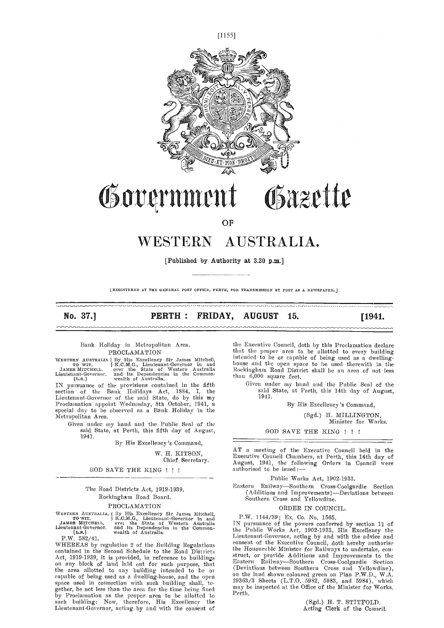



# Governmen Osazette

OF

## WESTERN AUSTRALIA.

[Published by Authority at 3.30 p.m.]

LREGISTERED AT THE GENERAL POST OFFICE, PERTH, FOR TRANSMISSION BY POST AS A NEWSPAPER.

No. 37.] PERTH: FRIDAY, AUGUST 15. [1941.

## Bank Holiday in Metropolitan Area. PROCLAMATION

WESTERN AUSTRALIA | By His Excellency Sir James Mitchell,<br>
TO WIT, JAMES MITCHELL, over the State of Western Australia<br>
JAMES MITCHELL, over the State of Western Australia<br>
Lieutenant-Governor, and its Dependencies in the

IN pursuance of the provisions contained in the fifth section of the Bank Holidays Act, 1884, I, the Lieutenant-Governor of the said State, do by this my Lieutenant-Governor of the said State, do by this my Proclamation appoint Wednesday, 8th October, 1941, a special day to be observed as a Bank Holiday in the<br>Metropolitan Area.

Given under my hand and tile Public Seal of the said State, at Perth, this fifth day of August, 1941.

By His Excellency's Command,

W. H. KITSON,

Chief Secretary.

GOD SAVE THE KING !!!

## Tile Road Districts Act, 1919-1939. Roekingham Road Board.

## PROCLAMATION

WESTERN AUSTRALIA, ( By His Excellency Sir James Mitchell, TOWIT, ( S.C.M.G., Lieutenant-Governor in and JAMES MITCHELL, over the State of Western Australia IN
Lieutenant-Governor, and its Dependencies in the Common-<br>
Lieu

P.W. 582/41.

WHEREAS by regulation 2 of the Building Regulations contained in the Second Schedule to the Road Districts Act, 1919-1939, it is provided, in reference to buildings stated on any block of land laid out for such purpose, that the area allotted to any building intended to be or eapable of being used as a dwelling-house, and the open<br>space used in connection with such building shall, to-<br>gether, be not less than the area for the time being fixed by<br>by Proclamation as the proper area to be allotted such building: Now, therefore, His Excellency the Lieutenant-Governor, acting by and with the consent of

the Executive Council, doth by this Proclamation declare that the proper area to be allotted to every building intended to be or capable of being used as a dwelling- house and the open space to he used therewith in the Roekiugluanu Road District shall he an area of not less than 6,000 square feet.

Given under my hand and the Public Seal of the said State, at Perth, this 14th day of August, 1941.

By His Excellency's Command,

(Sgd.) H. MILLINGTON,

Minister for Works.

#### GOD SAVE THE KING ! ! !

AT a meeting of the Executive Council held in the Executive Council Chambers, at Perth, this 14th day of August, 1941, the following Orders in Council were authorised to be isued:

Public Works Act, 1902-1933.

Eastern Railway-Southern Cross-Coolgardie Section (Additions and Improvements)-Deviations between<br>Southern Cross and Yellowdine.

#### ORDER IN COUNCIL.

P,W. 1144/39; Ex, Co. No, 1565. TN pursuance of tile powers conferred by section 11 of the Public Works Act, 1902-1933, His Excellency the Lieutenant-Governor, acting by and with the advice and consent of the Executive Council, doth hereby authoriso the Honourable Minister for Railways to undertake, construct, or provide Additions and Improvements to the Eastern Railway—Southern Cross-Coolgardie Section (Deviations between Southern Cross and Yellowdine), on the land shown coloured green on Plan P.W.D., W.A.<br>29363/3 Sheets (L.T.O. 5982, 5983, and 5984), which may be inspected at the Office of the Minister for Works, Perth.

> (Sgd.) H. T. STITFOLD, Acting Clerk of the Council.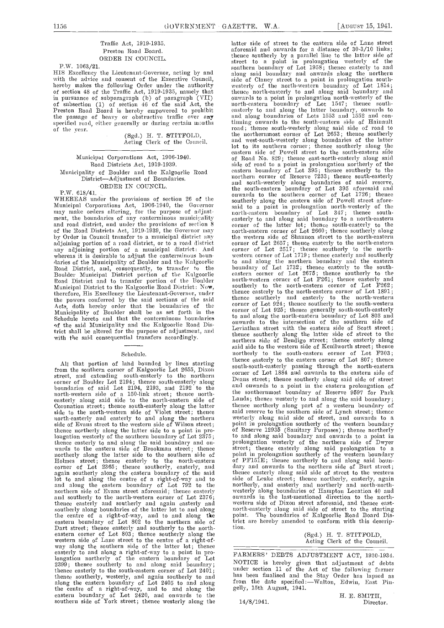## Traffic Act, 1919-1935. Preston Road Board. ORDER IN COUNCIL.

P.W. 1063/21.<br>HIS Excellency the Lieutenant-Governor, acting by and with the advice and consent of the Executive Council,<br>hereby makes the following Order under the authority westerly of the north-western boundary of Lot 1814; hereby makes the following Order under the authority westerly of the north-western boundary of Lot 1814;<br>of section 48 of the Traffic Act, 1919-1935, namely that thence north-easterly to and along said boundary and of section 48 of the Traffic Act, 1919-1935, namely that then<br>in pursuance of subparagraph (b) of paragraph (VII) onwa<br>of subsection (1) of section 46 of the said Act, the nortl Preston Road Board is hereby empowered to prohibit easte:<br>the passage of heavy or obstructive traffic over any and the passage of heavy or obstructive traffic over any specified road, either generally or during certain months of the year. (Sgd.) H. T. STITFOLD, Acting Clerk of the Council.

## Municipal Corporations Act, 1906-1940. Road Distriets Act, 1919-1939. Municipality of Boulder and the Kalgoorlie Road District-Adjustment of Boundaries. ORDER IN COUNCIL.

P.W. 618/41.<br>WHEREAS under the provisions of section 26 of the WHEREAS under the provisions of section 26 of the Municipal Corporations Act, 1906-1940, the Governor said may make orders altering, for the purpose of adjnstment, the boundaries of any conterminous municipality and road district, and under the provisions of section 8 and Total districts Act, 1919-1939, the Governor may<br>by Order in Council transfer to a municipal district any<br>adjoining portion of a road district, or to a road district any adjoining portion of a municipal district: And whereas it is desirable to adjust the conterminous boundaries of the Municipality of Boulder and the Kalgoorlie Road District, and, consequently, to transfer to the Boulder Municipal District portion of the Kalgoorlie eas Road District and to transfer portion of the Boulder Municipal District to the Kalgoorlie Road District: Now, therefore, His Excellency the Lieutenant-Governor, under<br>the powers conferred by the said sections of the said thence Acts, doth hereby order that the boundaries of the co Municipality of Boulder shall be as set forth in the  $\frac{1}{10}$ Schedule hereto and that the conterminous boundaries  $\frac{10}{2}$ of the said Municipality and the Kalgoorlie Road District shall be altered for the purpose of adjustment, and with the said consequential transfers accordingly.

## Schedule.

All that portion of land bounded by lines starting<br>from the southern corner of Kalgoorlie Lot 2655, Dixon southern street, and extending south-easterly to the northern  $\frac{1}{2}$ corner of Boulder Lot 2194; thence south-easterly along boundaries of said Lot 2194, 2193, and 2192 to the north-western side of a 150-link street; thence north-<br>easterly along said side to the north-eastern side of Coronation street; thence south-easterly along the latter thence side to the north-western side of Violet street; thence said r north-easterly and easterly to and along the northern westerly side of Evans street to the western side of Wilson street; thence northerly along the latter side to a point in pro-<br>lougation westerly of the southern boundary of Lot 2375;<br>thence easterly to and along the said boundary and onlougation westerly of the southern boundary of Lot 2375; to a<br>thence easterly to and along the said boundary and on-<br>wards to the eastern side of Brookman street; thence<br>northerly along the latter side to the southern side Eddnes street; thence easterly to the north-eastern<br>corner of Lot 2365; thence southerly, easterly, and again southerly along the eastern boundary of the said lot to and along the centre of a right-of-way and to side of and along the eastern boundary of Lot 792 to the northern side of Evans street aforesaid; thence easterly western and southerly to the north-western corner of Lot 2376; onwar<br>thence easterly and southerly and again easterly and wester southerly along boundaries of the latter lot to and along the centre of a right-of-way, and to and along the eastern boundary of Lot 802 to the northern side of Dart street; thence easterly and southerly to the north-<br>eastern corner of Lot 803; thence southerly along the<br>western side of Lane street to the centre of a right-of-<br>way along the southern side of the latter lot; thence easterly to and along a right-of-way to a point in pro-<br>longation northerly of the eastern boundary of Lot<br>2399; thence southerly to and along said boundary; thence easterly to the south-eastern corner of Lot 2401; under<br>thence southerly, westerly, and again southerly to and along the eastern boundary of Lot 2405 to and along from<br>the centre of a right-of-way, and to and along the gelly, eastern boundary of Lot 2420, and onwards to the<br>southern side of York street; thence westerly along the 14,

latter side of street to the eastern side of Lane street<br>aforesaid and onwards for a distance of 30-3/10 links;<br>thence southerly by a parallel line to the latter side of street to a point in prolongation westerly of the southern boundary of Lot 1958; thence easterly to and along said boundary and onwards along the northern side of Clancy street to a point in prolongation south-<br>westerly of the north-western boundary of Lot 1814;<br>thence north-easterly to and along said boundary and onwards to a point in prolongation north-westerly of the north-eastern boundary of Lot 1547 ; thence southeasterly to and along the latter boundary, onwards to and along boundaries of Lots 1553 and 1552 and continning onwards to the south-eastern side of Hainault road; thence south-westerly along said side of road to the northernmost corner of Lot 2653 ; thence southerly and west-south-westerly along boundaries of the latter lot to its southern corner; thence southerly along the eastern side of Powell street to the south-eastern side of Road No. 829; thence east-north-easterly along said<br>side of road to a point in prolongation northerly of the<br>eastern boundary of Lot 395; thence southerly to the<br>northern corner of Reserve 7233; thence south-easterly and south-westerly along boundaries of said reserve,<br>the south-eastern boundary of Lot 395 aforesaid and onwards to the southern corner of Lot 1726; thence southerly along the eastern side of Powell street afore-<br>said to a point in prolongation north-westerly of the<br>north-eastern boundary of Lot 347; thence southeasterly to and along said boundary to a north-eastern<br>corner of the latter lot; thence south-easterly to the<br>north-eastern corner of Lot 2660; thence southerly along the western side of Shannon street to the north-eastern corner of Lot 2657; thence easterly to the north-eastern<br>corner of Lot 2517; thence southerly to the north-<br>western corner of Lot 1719; thence easterly and southerly to and along the northern boundary and the eastern boundary of Lot 1732; thence easterly to the south-<br>eastern corner of Lot 2675; thence southerly to the<br>north-western corner of Lot F261; thence easterly and southerly to the north-eastern corner of Lot F262; thence easterly to the north-eastern corner of Lot  $1891;$ thence southerly and easterly to the north-western corner of Lot 924; thence southerly to the south-western corner of Lot 925; thence generally south-south-easterly to and along the north-eastern boundary of Lot 803 and onwards to the intersection of the southern side of Leviathan street with the eastern side of Scott street; Leviathan street with the eastern side of Scott street; thence southmly along the latter side of street to the northern side of Bendigo street; thence easterly along said side to the western side of Kenilworth street; thence northerly to the south-eastern corner of Lot P303 thence easterly to the eastern corner of Lot 807; thence sonth-south-easterly passing through the north-eastern corner of Lot 1884 and onwards to the eastern side of and onwards to a point in the eastern prolongation of the southernmost boundary of Reserve 9597 for Park Lands; thence westerly to and along the said boundary;<br>thence northerly along part of a western boundary of<br>said reserve to the southern side of Lynch street; thence of Reserve 12935 (Sanitary Purposes); thence northerly<br>to and along said boundary and onwards to a point in<br>prolongation westerly of the northern side of Dwyer<br>street; thence easterly along said prolongation to a<br>point in thence easterly along said side of street to the western side of Leake street; thence northerly, easterly, again northerly, and easterly and northerly and north-north- westerly along boundaries of Hampton Location 40 arid onwards in the last-mentioned direction to the northwestern side of Dixon street aforesaid, and thence east- north-easterly along said side of street to the starting point. The boundaries of Kalgoorlie Road Board District arc hereby amended to conform with this description.

(Sgd.) H. T. STITFOLD, Acting Clerk of the Council.

FARMERS' DEBTS ADJUSTMENT ACT, 1930-1934. NOTICE is hereby given that adjustment of debts under section 11 of the Act of the following farmer has been flusahised and the Stay Order has lapsed as has been finalised and the Stay Order has lapsed as from the date specified :- Walton, Edwin, East Pingehly, 15th August, 1941.

14/8/1941.

H. E. SMITH,<br>Director.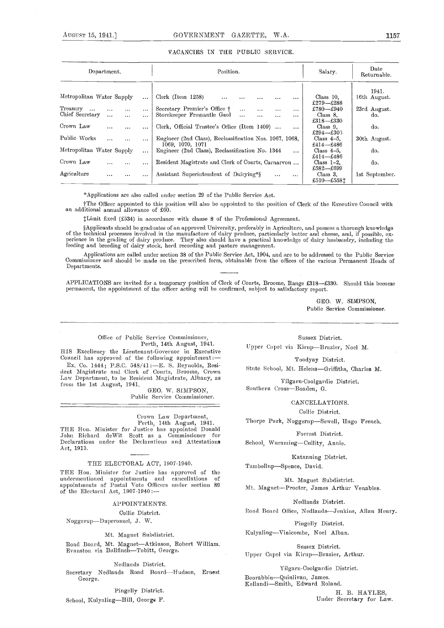## VACANCIES IN THE PUBLIC SERVICE.

| Department.                                                                     |                      | Position.                                                                                                                                  | Salary.                                | Date<br>Returnable.   |  |
|---------------------------------------------------------------------------------|----------------------|--------------------------------------------------------------------------------------------------------------------------------------------|----------------------------------------|-----------------------|--|
| Metropolitan Water Supply                                                       | $\cdots$             | Clerk (Item 1258)<br>$\cdots$<br>.<br>$\cdots$                                                                                             | Class 10.<br>£279-£288                 | 1941.<br>16th August. |  |
| Treasury<br>$\cdots$<br>$\cdots$<br><br>Chief Secretary<br>$\cdots$<br>$\cdots$ | $\cdots$<br>$\cdots$ | Secretary Premier's Office †<br>$\cdots$<br>$\cdots$<br>$\cdots$<br>$\cdots$<br>Storekeeper Fremantle Gaol<br>$\cdots$<br>$\cdots$<br><br> | £780-£940<br>Class 8.<br>$£318 - £330$ | 23rd August.<br>do.   |  |
| Crown Law<br>$\cdots$<br>                                                       | $\cdots$             | Clerk, Official Trustee's Office (Item 1409)<br>$\cdots$                                                                                   | Class $9$ .<br>£294-£303               | do.                   |  |
| Public Works<br>$\cdots$<br>$\cdots$                                            | $\cdots$             | Eugineer (2nd Class), Reclassification Nos. 1067, 1068,<br>1069, 1070, 1071                                                                | Class $4-5$ .<br>£414–£486             | 30th August.          |  |
| Metropolitan Water Supply                                                       | $\cdots$             | Engineer (2nd Class), Reclassification No. 1344<br>$\cdots$                                                                                | Class $4-5$ .<br>£414–£486             | do.                   |  |
| Crown Law<br><br>$\cdots$                                                       | $\cdots$             | Resident Magistrate and Clerk of Courts, Carnarvon                                                                                         | Class $1-2$ .<br>£582-£699             | do.                   |  |
| Agriculture<br>$\cdots$<br>                                                     | $\cdots$             | Assistant Superintendent of Dairying*§<br>$\cdots$<br>$\cdots$                                                                             | Class 3.<br>£510-£5581                 | 1st September.        |  |

\* Applications are also called under section 29 of the Public Service Act.

tThe Officer appointed to this pasition will also be appainted to the position of Clerk of the Executive Council with an additional annual allowance of £60.

Ihitnit fixed (f534) in accordance with clause 8 of the Professional Agreement.

§Applicants should be graduates of an approved University, preferably in Agriculture, and possess a thorough knowledge of the technical processes involved in the manufacture of dairy produce, particularly butter and cheese, and, if possible, experience in the grading of dairy produce. They also should have a practical knowledge of dairy hu

Applications are called under section 38 of the Public Service Act, 1904, and are to be addressed to the Public Service Commissioner and should be made on the prescribed form, obtainable from the offices of the various Permanent Heads of Departments.

APPLICATIONS are invited for a temporary position of Clerk of Courts, Broome, Range £318-£330. Should this become permanent, the appointment of the officer acting will be confirmed, subject to satisfactory report.

> GEO. W. SIMPSON, Public Service Commissioner.

## Office of Public Service Commissioner, Perth, 14th August, 1941.

HIS Excellency the Lieutenant-Governor in Executive Council has approved of the following appointment:

Ex. Co. 1444; P.S.C. 548/41:E. S. Reynolds, Resi- dent Magistrate and Clerk of Courts, Brooine, Crown Law Department, to be Resident Magistrate, Albany, as

from the 1st August, 1941.  $GEO. W. SIMPSON,$ Public Service Commissioner.

Crown Law Department,<br>Perth, 14th August, 1941.<br>THE Hon. Minister for Justice has appointed Donald<br>John Richard deWit Scott as a Commissioner for John Richard deWit Scott as a Commissioner Declarations under the Declarations and Attestations Act, 1913.

## THE ELECTORAL ACT, 1907-1940.

THE Hon. Minister for Justice has approved of the undermeutioned appointments and cancellations of appointments of Postal Vote Officers under section 89 of the Electoral Act, 1907-1940 :--

APPOINTMENTS.

Collie District.

Noggerup-Duperouzel, J. W.

## Mt. Magnet Subdistrict.

Road Board, Mt. Magnet-Atkinson, Robert William.<br>Evanston via Bullfinch-Tobitt, George.

Nedlands District.

Secretary Necilands Road Board-----Hudson, Ernest George.

Pingelly District.

School, Kulyaling-Hill, George F.

Sussex District. Upper Capel via Kirup-Brazier, Noel M.

Toodyay District.

State School, Mt. Helena-Griffiths, Charles M.

Yilgarn-Coolgardie District. Southern Cross-Boaden, G.

CANCELLATIONS.

Collie District.

Thorpe Park, Noggerup-Sewell, Hugo French.

Forrest District.

School, Wuraming-Cullity, Annie.

Katanaing District.

Tambellup-Spence, David.

Mt. Magnet Subdistrict. Mt. Magnet-Procter, James Arthur Venables.

Nedlaads District.

Road Board Office, Nedlands-Jenkins, Allan Henry.

Pingelly District.

Kulyaling-Vinicombe, Noel Alban.

Sussex District. Upper Capel via Kirup-Brazier, Arthur.

## Yilgarn-Coolgardie District.

Boorabbin-Quinlivan, James.<br>Kellandi-Smith, Edward Roland.

H. B. HAYLES, Under Secretary for Law.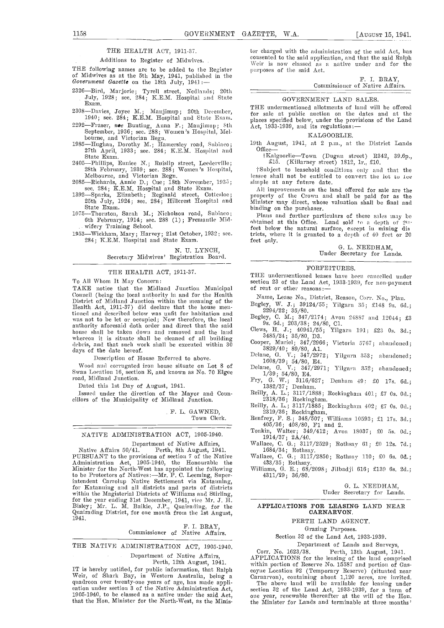## THE HEALTH ACT, 1911-37.

Additions to Register of Midwives.

THE following names are to be added to the Register of Midwives as at the 5th May, 1941, published in the Government Gazette on the 18th July, 1941 :--<br>Government Gazette on the 18th July, 1941 :-- Commission of Notive Aff

- $^{2326}$ —Bird, Marjorie; Tyrell street, Nedlands; 20th  $\qquad \qquad \qquad \qquad \qquad \qquad \qquad$ July, 1928; sec. 284; K.E.M. Hospital and State Exam.
- 2308—Davies, Joyce M.; Manjimup; 20th December, 1940; sec. 284; K.E.M. Hospital and State Exam.
- 2292—Fraser, noe Bunting, Anna F.; Manjimup; 8th Act, 1933-1939, and its regulations:<br>September, 1936; sec. 288; Women's Hospital, Mel-<br>FALL TALGOOD I.E.
- September, 1936; September, 1936; September, and Victorian Regn.<br>1985—Hughan, Dorothy M.; Hamersley road, Subiaco; 19th April, 1933; sec. 284; K.E.M. Hospital and State Exam.<br>1K.
- 2405—Phillips, Eunice N.; Ruislip street, Leederville; 28th February, 1939; sec. 288; Women's Hospital, Melbourne, and Victorian Regn.

Melbourne, and Victorian Regn.<br>2085—Richards, Annie D.; Cue; 18th November, 1935;

- sec. 284; K.E.M. Hospital and State Exam.<br>1392—Sparks, Elizabeth; Reginald street, Cottesloe; 25th July, 1924; sec. 284; Hillcrest Hospital and Minis<br>State Exam. bindir
- 1075—Thornton, Sarah M.; Nicholson road, Subiaco; 6th February, 1914; sec. 288 (1) ; Fremantle Midwifery Training School.
- 1953—Wickham, Mary; Harvey; 21st October, 1932; sec. 284; K.E.M. Hospital and State Exam.

N. U. LYNCH, Secretary Midwives' Registration Board.

#### THE HEALTH ACT, 1911-37.

To All Whom It May Concern:

TAKE notice that the Midland Junction Municipal of rent or other reasons:<br>Council (being the local authority in and for the Health Name Lease No. Distri Council (being the Health District of Midland Junction within the meaning of the Health Act, 1911-37) did declare that the house men-<br>
Health Act, 1911-37) did declare that the house men-<br>  $\frac{2294/22}{35/80}$ . tioned and described below was unfit for habitation and was not to he let or occupied; Now therefore, the local authority aforesaid doth order and direct that the said house shall be taken down and removed and the land whereon it is situate shall be cleaned of all building  $\frac{3}{\sqrt{2}}$ dehris, and that such work shall be executed within 30 days of the date hereof.

Description of House Referred to above.

Wood and corrugated iron house situate on Lot 8 of Swan Location 16, section E, and known as No. 70 Elgee road, Midland Junction.

Dated this 1st Day of August, 1941.

Issued under the direction of the Mayor and Coun-<br>
eilly, A. L.; 3117/1888; Rockingham 401; £7 0s. 0d.;<br>
eillors of the Municipality of Midland Junction.<br>
Reilly, A. L.; 3117/1885; Rockingham 402; £7 0s. 0d.;

F. L. GAWNED, Town Clerk.

## NATIVE ADMINISTRATION ACT, 1905-1940.

Department of Native Affairs,<br>Native Affairs 50/41. Perth, 8th August, 1941.<br>PURSUANT to the provisions of section 7 of the Native Native Affairs 50/41. Perth, 8th August, 1941. 1684/34; Rothsay.<br>PURSUANT to the provisions of section 7 of the Native Wallace, C. G.; 3117/2850; Rothsay 110; £0 6s. 0d.; Administration Act, 1905-1940, the Honourable the 4 Minister for the North-West has appointed the following Williams, G. E.; 68, to be Protectors of Natives:—Mr. P. C. Leeming, Super- 4311/29; 36/80. to be Protectors of Natives:—Mr. P. C. Leeming, Super-<br>intendent Carrolup Native Settlement via Katauning,<br>for Katauning and all districts and parts of districts within the Magisterial Districts of Williams and Stirling,<br>for the year ending 31st December, 1941, vice Mr. J. H.<br>Bisley; Mr. L. M. Baikie, J.P., Quairading, for the<br>Quairading District, for one month from the 1st August, Bisley; Mr. L. M. Baikie, J.P., Quairading, for the Quairading District, for one month from the 1st August,

### F. I. BRAY Commissioner of Native Affairs.

THE NATIVE ADMINISTRATION ACT, 1905-1940.

Department of Native Affairs, Perth, 12th August, 1941.

IT is hereby notified, for public information, that Ralph Weir, of Shark Bay, in Western Australia, being a quadroon over twenty-one years of age, has made appli- cation under section 3 of the Native Administration Act, 1905-1940, to be classed as a native under the said  $Act$ , that the Hon. Minister for the North-West, as the Minister charged with the administration of the said Act, has consented to the said application, and that the said Ralph purposes of the said Act.

## F. I. BRAY, Commissioner of Native Affairs.

#### GOVERNMENT LAND SALES.

THE undermentioned allotments of land will be offered for sale at public auction on the dates and at the places specified below, under the provisions of the Land<br>Act, 1933-1939, and its regulations:—

## KALGOORLIE.

19th August, 1941, at <sup>2</sup> p.m., at the District Lands Office

I KalgoorlieTowu (Dugan street) R342, 39.Op., £15. (Killarney street) 1812, 1r., £10.

tSubject to leasehold conditions omih- aud that the lessee shall not be entitled to convert the lot to 1ee simple at any future date.<br>All improvements on the land offered for sale are the

property of the Crown and shall be paid for as the Minister may direct, whose valuation shall be final and binding on the purchaser.

Plans and further particulars of these sales may be obtained at this Office. Land sold to a depth of  $20$ : feet below the natural surface, except in mining dis tricts, where it is granted to a depth of 40 feet or 20 feet only.

> G. L. NEEDHAM. Under Secretary for Lands.

## FORFEITURES.

THE undermentioned leases have been cancelled nuder section 23 of the Land Act, 1933-1939, for non-payment

Name, Lease No., District, Reason, Corr. No., Plan.

Begley, W. J.; 39124/55; Yilgarn 35; £148 9s. 6d.;

Begley, C. N.; 347/2174; Avon 24887 and 12044; £3

9s. 6d.; 203/38; 24/80, Cl.<br>Clews, H. J.; 40941/55; Yilgarn 191; £23 Os. 3d.; 3485/24; 35/80, D3.

Cooper, Muriel; 347/2966; Victoria 5767; abandoned; 3829/40; 89/80, A1.<br>Delane, G. V.; 347/2972; Yilgarn 353; abandoned; 1608/39; 54/80, E4.<br>Delane, G. V.; 347/2971; Yilgarn 352; abandoned; 1/39; 54/80, E4.

Fsy, C. W.; 3ll6/627 Denham 49: £0 17s. 64.; 1382/37; Denham.

Reilly, A. L.; 3117/1888; Rockingham 401; £7 Os. Od.; 2318/36; l7ockingliam.

2318/36; Rockingham.<br>Reilly, A. L.; 3117/1885; Rockingham 402; £7 0s. 0d.; 2319/36; Rockingham.<br>Renfrey, F. S.; 348/507; Williams 10593; £1 17s. 3d.; 405/36; 408/80, F1 and 2.

Tonkin, Walter; 349/412; Avon 18037; £0 5s. 0d.; 1914/37; 2A/40.

Wallace, C. G.; 3117/2529; Rothsay 61; £0 12s. 7d.;

1684/487/35; Rothsay.<br>Williams, G. E.; 68/2098; Jilbadji 616; £139 6s. 2d.;

C. L. NEEDHAM,

Under Secretary for Lands.

## APPLICATIONS FOR LEASING LAND NEAR CARNARVON.

## PERTH LAND AGENCY.

Grazing Purposes.

Section 32 of the Land Act, 1933-1939.

Department of Lands and Surveys,<br>Corr. No. 1623/38. Perth. 13th August. 194 Corr. No. 1623/38. Perth, 13th August, 1941.<br>APPLICATIONS for the leasing of the land comprised<br>within portion of Reserve No. 15587 and portion of Gas-<br>coyne Location 92 (Temporary Reserve) (situated near<br>Cararyon), conta

The above land will be available for leasing under section 32 of the Land Act, 1933-1939, for a term of one year, renewable thereafter at the will of the Hon.<br>the Minister for Lands and terminable at three months'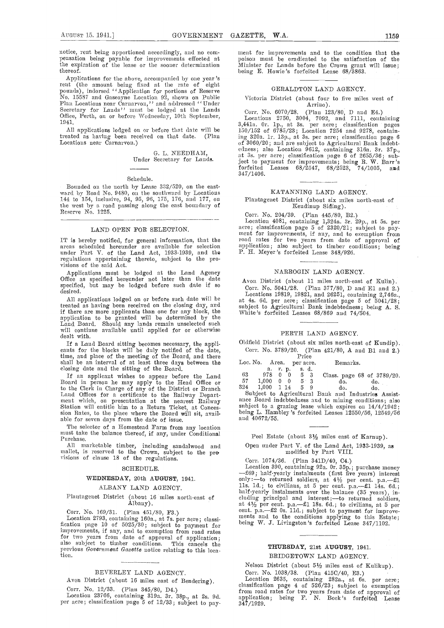notice, rent being apportioned accordingly, and no com- mensation being payable for improvements effected at  $\qquad$ the expiration of the lease or the sooner determination thereof.

Applications for the above, accompanied by one year's rent (the amount being fixed at the rate of eight pounds), indorsed "Application for portions of Reserve No. 15587 and Gascoyne Location 92, shown on Public<br>Plan Locations near Carnarvon," and addressed "Under<br>Secretary for Lands" must be lodged at the Lands<br>Office, Perth, on or before Wednesday, 10th September, 1941.

All applications lodged on or before that date will be eated as having been received on that date. (Plan treated as having been received on that date. Locations near Carnarvon.)

> 0. L. NEEDHAM, Under Secretary for Lands.

## Schedule.

Bounded on the north by Lease 332/520, on the eastward by Road No. 9480, on the southward by Locations 144 to 154, inelusive, 94, 95, 96, 175, 176, and 177, on the west by a road passing along the east boundary of Reserve No. 1225.

#### LAND OPEN FOR SELECTION.

under Part V. of the Land Act, 1933-1939, and the regulations appertaining thereto, subjeet to the provisions of the said Act.

Applieations must be lodged at the Land Agency Office as specified hereunder not later than the date  $A_{V}$ specified, but may be lodged before such date if so  $\overline{a}$  desired.

All applications lodged on or before such date will be treated as having been received on the closing day, and if there are more applicants than one for any block, the application to be granted will be determined by the Land Board. Should any lands remain unselected such will continue available until applied for or otherwise dealt with.

If a Land Board sitting becomes necessary, the applicants for the blocks will be duly notified of the date, C<br>time, and place of the meeting of the Board, and there shall be an interval of at least three days between the Loc. closing date and the sitting of the Board.

If an applicant wishes to appear before the Land Board in person he may apply to the Head Office or to the Clerk in Charge of any of the District or Branch B24<br>Land Offices for a certificate to the Railway Depart- Subment which, on presentation at the nearest Railway ance<br>Station will entitle him to a Return Ticket, at C sion Rates, to the place where the Board will sit, avail-<br>able for seven days from the date of issue.

The selector of a Homestead Farm from any location must take the balance thereof, if any, under Conditional Purchase.

All marketable timber, including sandalwood and Open under mallet, is reserved to the Crown, subject to the pro visions of clause 18 of the regulations.

#### SCHEDULE.

## WEDNESDAY, 20th AUGUST, 1941.

ALBANY LAND AGENCY.

## Plantagenet District (ahout 16 miles north-east of Albany).

Corr. No. 169/31. (Plan 451/80, F3.)

Location 2793, containing 160a., at 7s. per acre; classi-<br>fication page 10 of 5025/30; subject to payment for improvements, if any, and to exemption from road rates<br>for two years from date of approval of application;<br>also subject to timber conditions. This cancels the previous *Government Gazette* notice relating to this loca-<br>tion.

BEVERLEY LAND AGENCY.

Avon District (about 16 miles east of Rendering).

Corr. No. 12/33. (Plan 345/80, D4.)

Location 23766, containing 319a. 3r. 38p., at 2s. 9d. per acre; classification page 5 of 12/33; subject to pay-

snent for improvements and to the condition that the poison must be eradicated to the satisfaction of the Minister for Lands before the Crown grant will issue;<br>being E. Howie's forfeited Lease 68/3863.

## GERALDTON LAND AGENCY.

## Victoria District (about four to five miles west of  $\Lambda$ rrino). Arrino).

Corr. No. 6070/28. (Plan  $123/80$ , D and E4.) Locations 2750, 3004, 7092, and 7111, containing 3,441a. Or. 1p., at 3s. per acre; classification pages<br>150/152 of 6785/23; Location 7254 and 9278, containing 320a. ir. 131)., at 3s. per acre; classification page 6 of 3060/20; and are subject to Agricultural Bank indebt-<br>edness; also Location 9612, containing 316a. 3r. 37p.,<br>at 3s. per acre; classification page 6 of 2655/36; subject to paynsent for improvements; being R. W. Barr's forfeited Leases 68/2547, 68/2523, 74/1005, and 347/1406.

#### KATANNING LAND AGENCY.

Plantagenet District (about six miles north-east of Kendinup Siding).

## Corr. No. 204/39. (Plan 445/80, B2.)

IT is hereby notified, for general information, that the al-road rates for two years from date of approval of areas scheduled hereunder are available for selection application; also subject to timber conditions; being Location 4081, containing 1,324a. 3r. 29p., at 5s. per acre; classification page 5 of 2320/21; subject to payment for improvements, if any, and to exemption from road rates for two years from date of approval of applicatiou; also subject to timber conditions; being P. H. Meyer's forfeited Lease 348/926.

#### NARROGIN LAND AGENCY.

Avon District (about 11 miles north-east of Kulin).

Corr. No. 5041/28. (Plan 377/80, D and El and 2.)<br>Locations 19819, 19821, and 26251, containing 2,746a, at 4s. 6d. per acre; classification page 5 of 5041/28; subject to Agricultural Bank indebtedness; being A. S. White 's forfeited Leases 68/869 and 74/504.

#### PERTH LAND AGENCY.

Oldfield District (about six miles north-east of Kundip). Corr. No. 3789/20. (Plan 421/80, A and B1 and 2.)<br>Price

|     |                         |      | Loc. No. Area. per acre. | Remarks.                   |
|-----|-------------------------|------|--------------------------|----------------------------|
|     |                         |      | a. r. p. s. d.           |                            |
| 63  |                         |      | 978 0 0 5 3              | Class. page 68 of 3789/20. |
| 57  | $1,000 \quad 0 \quad 0$ |      | $5 \t3$                  | do.<br>do.                 |
| 324 | 1.000                   | 1 14 | 59                       | do.<br>do.                 |

Subject to Agricultural Bank and Industries Assistance Board indebtedness and to mining conditions; also subject to a grazing lease which expires on  $14/4/1942$ ; being L. Hambley 's forfeited Leases 12550/56, 12549/56 and 40672/55.

#### Peel Estate (about  $3\frac{1}{2}$  miles east of Karnup).

Open under Part V. of the Land Act, 1933-1939, as niodified by Part VIII.

Corr. 1074/36. (Plan 341D/40, C4.)<br>Location 390, containing 92a. 0r. 35p.; purchase money Location 390, containing 92a. Or. 35p.; purchase money  $-$  569; half-yearly instalments (first five years) interest only :—to returned soldiers, at  $4\frac{1}{2}$  per cent. p.a.-- £1 11s. 1d.; to civilians, at 5 per cent. p.a.— $\pm 1$  14s. 6d.;<br>half-yearly instalments over the balance (35 years), in-<br>cluding principal and interest:—to returned soldiers,<br>at  $4\frac{1}{2}$  per cent. p.a.— $\pm 1$  18s. 6d.; to

## TIWRSDAY, 21st AUGUST, 1941. BRIDGETOWN LAND AGENCY.

Nelson District (about 5½ miles east of Kulikup).<br>Corr. No. 1038/38. (Plan 415C/40, E3.)

Corr. No. 1038/38. (Plan 415C/40, E3.)<br>Location 2635, containing 282a., at 6s. per acre;<br>classification page 4 of 526/23; subject to exemption from road rates for two years from date of approval of application; being F. N. Boek's forfeited Lease  $3\overline{47}/1929.$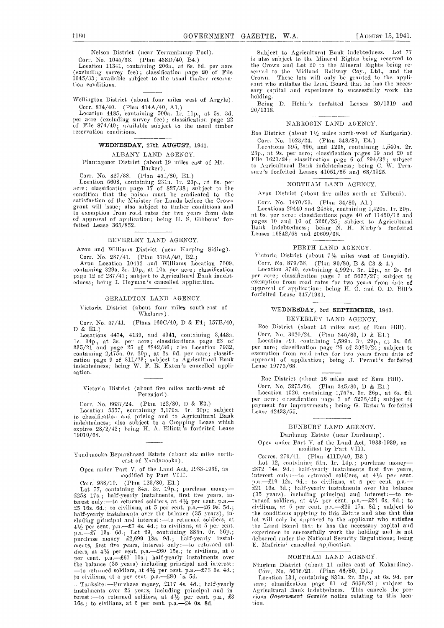Nelson District (near Yerraminnup Pool).

Corr. No. 1045/33. (Plan 438D/40, B4.) Location 11341, containing 206a., at 6s. 60. per acre (excluding survey fee) ; classification page 20 of File 1045/33; available subject to the usual timber reservation conditions.

Wellington District (about four miles west of Argyle).

Corr. 874/40. (Plan 414A/40, A1.)<br>
Location 4485, containing 500a. 1r. 11p., at 5s. 3d. 20/1.<br>
per acre (excluding survey fee); classification page 22<br>
of File 874/40; available subject to the usual timber<br>
reservation con

## WEDNESDAY, 27th AUGUST, 1941.

ALBANY LAND AGENCY. Plantayenet District (about 19 miles east of Mt. Barker).

Corr. No. 827/38. (Plan 451/80, E1.)<br>Location 5608, containing 231a. 1r. 26p., at 6s. per<br>acre; classification page 17 of 827/38; subject to the<br>condition that the poison must be eradicated to the satisfaction of the Minister for Lands before the Crown grant will issue; also subject to timber conditions and to exemption from road rates for two years from date of approval of application; being H. S. Gibbons' forfeited Lease 365/852.

#### BEVEBLEY LAND AGENCY.

Avon and Williams District (near Karping Siding). Corr. No. 287/41. (Plan 378A/40, B2.)

Avon Location 10432 and Williams Location 7609, containing 329a. 3r. 10p., at 10s. per acre; classification  $\qquad \qquad \text{Loop}$ 

## GERALDTON LAND AGENCY.

Victoria District (about four miles south-east of Whelarra).

Corr. No. 57/41. (Plans 160C/40, D & E4; 157B/40, D & E1.)

Locations  $4474$ ,  $4139$ , and  $4041$ , containing  $3,448a$ . in. 34p., at 3s. per acre; classifications page 23 of 335/21 and page 25 of 2242/36; also Location 7932, per a<br>containing 2,475a. Or. 20p., at 2s. 9d. per acre; classifi- exemp<br>cation page 9 of 311/23; subject to Agricultural Bank — appro indebtedness; being W. F. H. Exten's cancelled application.

## Victoria District (about five miles north-west of Perenjori).

Corr. No. 6637/24. (Plan 122/80, D & E3.)<br>Location 5557, containing 3,179a. 3r. 30p; subject Location 5557, containing 3,179a. 3r. 30p; subject the Lease nidebtedness; also subject to a Cropping Lease which expires 28/2/42; being H. A. Elliott's forfeited Lease 19010/68.

Yandanooka Repurchased Estate (about six miles northeast of Yandanooka).

# Open undei' Pant V. of the Land Act, 1933-1939, as modified by Part VIII.

Corr. 988/19. (Plan 123/80, E1.) purchase money- F.a.-£258 l7s.; half-yearly instalments, first five years, interest only:—to returned soldiers, at  $4\frac{1}{2}$  per cent. p.a.—<br>  $\pm 5$  16s. 6d.; to civilians, at 5 per cent. p.a.— $\pm 6$  9s. 5d.; ci<br>
half-yearly instalments over the balance (35 years), intellating principal and inter purchase money-£2,699 18s. 9d.; half-yearly instalpurchase money— $x_2$ ,  $y_3$  and  $x_4$ ,  $y_5$  and  $y_7$  diers, at  $4\frac{1}{2}$  per cent. p.a.— $\pm 60$  15s.; to civilians, at 5 per cent. p.a.— $\pm 67$  10s.; half-yearly instalments over the balance (35 years) including princi the balance (35 years) including principal and interest in the balance of returned soldiers, at  $4\frac{1}{2}$  per cent. p.a.- $\frac{1}{2}$ 5 5s. 40.; to civilians, at 5 per cent. p.a.- $\frac{1}{2}$ 80 Is. 5d.

Tanksite :- Purchase money, £117 4s. 4d.; half-yearly instalments over 25 years, including principal and in-<br>terest:—to returned soldiers, at 41/2 per cent. p.a., £3 vions 16s.; to civilians, at 5 per cent. p.a.— $\pm 4$  0s. 8d.

Subject to Agricultural Bank indebtedness. Lot 77 is also subject to the Mineral Bights being reserved to the Crown and Lot 29 to the Mineral Rights being re- served to the Midland Railway Coy., Ltd., and the Crown. These lots will only be granted to the appli-<br>cant who satisfies the Land Board that he has the necessary capital and experience to successfully work the lioldiug.

Being D. Hehir's forfeited Leases 20/1319 and 20/1318.

## NARROGIN LAND AGENCY.

Roe District (about  $1\frac{1}{2}$  miles north-west of Karlgarin). Corr. No. 1623/24. (Plan 348/80, E4.)

Locations 395, 396, and 1298, containing 1,540a. 2r. 23p., at 9s. per acre; classification pages 19 and 20 of<br>File 1623/24; classification page 6 of 294/32; subject File 1623/24; classification page 6 of 294/32; subject<br>to Agricultural Bank indebtedness; being C. W. Treasure's forfeited Leases 41051/55 and 68/3525.

## NORTHAM LAND AGENCY.

Avon District (about five miles north of Yelbeni).

Corr. No. 1470/23. (Plan 34/80, A1.)<br>Locations 20440 and 24855, containing 1,420a. 1r. 20p., Locations 20440 and 24855, containing 1,420a. 1r. 20p.,<br>at 6s. per acre: classifications page 40 of 11450/12 and<br>pages 10 and 16 of 5226/25; subject to Agricultural<br>Bank indebtedness; being N. H. Kirby's forfeited<br>Leases 1

## PERTH LAND AGENCY.

Victoria District (about  $7\frac{1}{2}$  miles west of Gunyidi).

Corr. No. 879/38. (Plan 90/80, B & C3 & 4.)

page 12 of 287/41; subject to Agricultural Bank indebt-<br>
edness; being I. Hayman's cancelled application.<br>
exemption from road rates for two years from date of<br>
approval of application: being H. O. and O. D. Bill's Location 8749, containing 4,992a. Br. 12p., at 2s. 6d. per acre; classification page 7 of 5677/27; subject to exemption from road rates for two years from date of forfeited Lease 347/1931.

## WEDNESDAY, 3rd SEPTEMBER, 1941.

BEVERLEY LAND AGENCY.

Roe District (about 15 miles east of Emu Hill).<br>Corr. No. 3020/24. (Plan 345/80, D & E1.)

Location 791, containing 1,599a, 3r, 29p., at 3s. 6d. per acre; classification page 26 of 3020/24; subject to exemption from road rates for two years from date of<br>approval of application; being J. Perani's forfeited<br>Lease 19773/68.

Roe District (about 16 miles east of Emu Hill).<br>Corr. No. 5275/26. (Plan  $345/80$ , D & E1.)

Corr. No. 5275/26. (Plan 345/80, D & E1.)<br>Location 1026, containing 1,757a. 3r. 26p., at 5s. 6d.<br>per acre: classification page 7 of 5275/26; subject to payment for improvements; being G. Rutar's forfeited<br>Lease 42433/55.

## BUNBUBY LAND AGENCY.

Dardanup Estate (near Dardanup).

Open nnder Part V. of the Land Act, 1933-1939, as modified by Part VIII.

Corres. 279/41. (Plan 411D/40, B3.)

Lot 12, containing 51a. 1r. 14p.; purchase money-£S72 14s. 9d.; half-yearly instalments first five years, interest only:---to returned soldiers, at  $4\frac{1}{2}$  per cent. p.a.—f19 12s, 9d.; to civilians, at 5 per cent. p.a.— $\text{\textsterling}21$  16s, 3d.; half-yearly instalments ov (35 years), including principal and interest :- to returned soldiers, at  $4\frac{1}{2}$  per cent. p.a.  $-224$  6s. 9d.; to civilians, at  $5$  per cent. p.a.  $\pm 25$  17s. 8d.; subject to the conditions applying to this Estate and also that this lot will only he approved to the applicant who satisfies the Land Board that he has the necessary capital and experience to successfully work the holding and is not debarred under the National Security Regulations; being E. Mafricis' cancelled application.

## NORTHAM LAND AGENCY.

Ninghan District (about 11 miles east of Kokardine).

Corr. No. 5656/21. (Plan 56/80, D1.)<br>Location 134, containing 831a. 2r. 33p., at 6s. 9d. per acre; classification page 61 of 5656/21; subject to Agricultural Bank indebtedness. This cancels the previous Government Gazette notice relating to this location.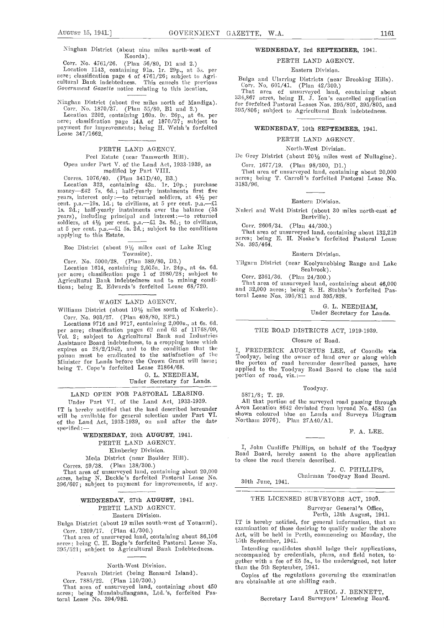Corr. No. 4761/26. (Plan 56/80, D1 and 2.)<br>Location 1143, containing 91a. 1r. 29p., at 5s. per acre; classification page 4 of 4761/26; subject to Agri-<br>cultural Bank indebtedness. This cancels the previous Government Gazette notice relating to this location.

Ninghan District (about five miles north of Mandiga).<br>Corr. No. 1870/37. (Plan 55/80, B1 and 2.) 3<br>Location 2202, containing 160a. Or. 26p., at 6s. per

acre; classification page  $14A$  of  $1870/37$ ; subject to payment for improvements; being H. Welsh's forfeited<br>Lease 347/1662.

PERTH LAND AGENCY.

Peel Estate (near Tamworth Hill).

Open under Part V. of the Land Act, 1933-1939, as modified by Part VIII.

Corres. 1076/40. (Plan 341D/40, B3.)

Location 323, containing 43a. 1r. 10p.; purchase  $3183/96$ .<br>money-£42 7s. 6d.; half-yearly instalments first five years, interest only :—to returned soldiers, at  $4\frac{1}{2}$  per cent. p.a.—19s. 1d.; to civilians, at 5 per cent. p.a.—£1 is. 2d.; half-yearly instalments over the balance (35 years), including principal and interest :-to returned soldiers, at  $4\frac{1}{2}$  per cent. p.a.—£1 3s. 8d.; to civilians, at 5 per cent. p.a.  $-21$  5s. 2d.; subject to the conditions applying to this Estate.

Roe District (about  $9\frac{1}{2}$  miles east of Lake King No. 395/464. Townsite).

Corr. No. 5000/28. (Plan 389/80, D3.)<br>Location 1614, containing 2,015a. 1r. 24p., at 4s. 6d.<br>per acre; classification page 1 of 2980/28; subject to Agricultural Bank indebtedness and to mining conditions; being E. Edwards's forfeited Lease 68/720.

## WAGIN LAND AGENCY.

Williams District (about  $10\frac{1}{2}$  miles south of Kukerin). Corr. No. 903/27. (Plan 408/SO, EF2.)

Locations 9716 and 9717, containing 2,000a., at 6s. 6d. per acre; classification pages 62 and 63 of 11768/09, VoL 2; subject to Agricultural Bank and Industries expires on 28/2/1942, and to the condition that the poison must be eradicated to the satisfaction of the Minister for Lands before the Crown Grant will issue; being T. Cope's forfeited Lease 21864/68.

G. L. NEEDHAM, Under Secretary for Lands.

## LAND OPEN FOR PASTORAL LEASING.

Under Part VI. of the Land Act, 1933-1939.<br>IT is hereby notified that the land described hereunder IT is hereby notified that the land described hereunder Part VI. shown coloured blue on Lands and Surveys Diagram of the Land Act, 1933-1939, on and after the date Northam 2076). Plan 27A40/A1. specified:

## WEDNESDAY, 20th AUGUST, 1941. PERTH LAND AGENCY.

Kimberley Division.

Meda District (near Boulder Hill).

Corres. 59/38. (Plan 138/300.)

That area of unsurveyed land, containing about 20,000 acres, being N. Buckle's forfeited Pastoral Lease No. 396/607; subject to payment for improvements, if any.

## WEDNESDAY, 27th AUGUST, 1941. PERTH LAND AGENCY. Eastern Division.

Bulga District (about 19 miles south-west of Youanmi). Corr. 1209/17. (Plan 41/300.)

That area of unsurveyed land, containing about 86,106  $\det_{\mathbf{A} \in \mathbf{H}}$ acres; being C. H. Bogle 's forfeited Pastoral Lease No. 395/521; subject to Agricultural Bank Indebtedness.

North-West Division.

Peawah District (being Ronsard Island).<br>Corr. 7885/22. (Plan 110/300.)

Corr. 7885/22. (Plan 110/300.) are only that area of unsurveyed land, containing about 450 acres; being Mundabullangana, Ltd.'s, forfeited Pastoral Lease No. 394/982.

## WEDNESDAY, 3rd SEPTEMBER, 1941.

PERTH LAND AGENCY. Eastern Division.

Bulga and Ularring Districts (near Brooking Hills).<br>Corr. No. 601/41. (Plan 42/300.) That area of unsurveyed land, containing about

 $334,867$  acres, being H. J. Ion's cancelled application for forfeited Pastoral Leases Nos. 395/807, 395/805, and 395/806; subject to Agricultural Bank indebtedness.

## WEDNESDAY, 10th SEPTEMBER, 1941.

PERTH LAND AGENCY.

North-West Division.

De Grey District (about 201/2 miles west of Nullagine). Corr. 1677/19. (Plan 98/300, Dl.)

That area of unsurveyed land, containing about 20,000 acres; being T. Carroll's forfeited Pastoral Lease No.

## Eastern Division.

Nuleri and Weld District (about 30 miles north-east of Burtville).

Corr. 2606/34. (Plan 44/300.)<br>That area of unsurveyed land, containing about 132,219 acres; being E. H. Noske's forfeited Pastoral Lease

#### Eastern Division.

Yilgarn District (near Koolyanobbing Range and Lake Seabrook).

Corr. 2361/36. (Plan 24/300.)

That area of unsurveyed land, containing about 46,000 and 32,000 acres; being S. H. Stubbs's forfeited Pastoral Lease Nos. 395/811 and 395/828.

> G. L. NEEDHAM, Under Secretary for Lands.

## THE ROAD DISTRICTS ACT, 1919-1939.

#### Closure of Road.

FREDERICK AUGUSTUS LEE, of Coondle via Toodyay, being the owner of land over or along which<br>the porton of road hereunder described passes, have applied to the Toodyay Road Board to close the said portion of road, viz.:-

## Toodyay.

5871/8; T. 29.

All that portion of the surveyed road passing through Avon Location 8642 deviated from byroad No. 4583 (as Northam 2076). Plan 27A40/A1.

### F. A. LEE.

I, Johns Cunhiffe Phillips, on behalf of the Toodyay Road Board, hereby assent to the above application to close the road therein described.

## J. C. PHILLIPS,

Cliairinaa Toodyay Road Board. 30th June, 1941.

THE LICENSED SURVEYORS ACT, 1909.

Surveyor General's Office, Perth, 13th August, 1941.

IT is hereby notified, for general information, that an examination of those desiring to qualify under the above Act, will be held in Perth, commencing on Monday, the 15th September, 1941.

Intending candidates should lodge their applications, accompanied by credentials, plans, and field notes, together with a fee of £5 5s., to the undersigned, not later than the 5th September, 1941.

Copies of the regulations governing the examination are obtainable at one shilling each.

> ATHOL J. BENNETT, Secretary Land Surveyors' Licensing Board.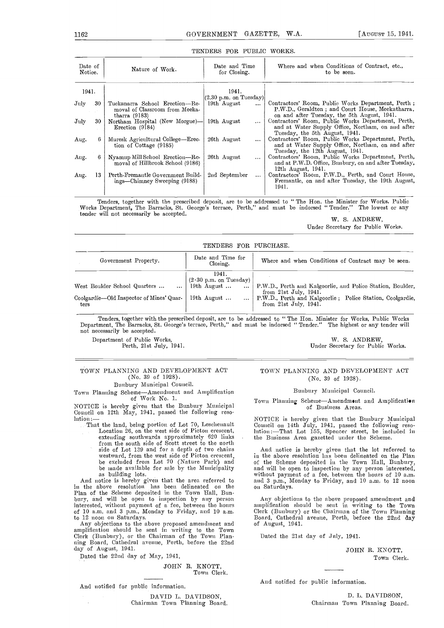| Date of<br>Notice.  | Nature of Work.                                                                     | Date and Time<br>for Closing.                                           | Where and when Conditions of Contract, etc.,<br>to be seen.                                                                                           |
|---------------------|-------------------------------------------------------------------------------------|-------------------------------------------------------------------------|-------------------------------------------------------------------------------------------------------------------------------------------------------|
| 1941.               |                                                                                     | 1941.                                                                   |                                                                                                                                                       |
| ${\rm July}$<br>-30 | Tuckanarra School Erection-Re-<br>moval of Classroom from Meeka-<br>tharra $(9183)$ | $\vert (2.30 \text{ p.m. on Tuesday}) \vert$<br>19th August<br>$\cdots$ | Contractors' Room, Public Works Department, Perth;<br>P.W.D., Geraldton; and Court House, Meekatharra,<br>on and after Tuesday, the 5th August, 1941. |
| July<br>30          | Northam Hospital (New Morgue)-<br>Erection (9184)                                   | 19th August<br>$\cdots$                                                 | Contractors' Room, Public Works Department, Perth,<br>and at Water Supply Office, Northam, on and after<br>Tuesday, the 5th August, 1941.             |
| Aug.                | Muresk Agricultural College—Erec-<br>tion of Cottage (9185)                         | 26th August<br>$\cdots$                                                 | Contractors' Room, Public Works Department, Perth,<br>and at Water Supply Office, Northam, on and after<br>Tuesday, the 12th August, 1941.            |
| Aug.                | Nyamup Mill School Erection-Re-<br>moval of Hillbrook School (9186)                 | 26th August<br>$\cdots$                                                 | Contractors' Room, Public Works Department, Perth,<br>and at P.W.D. Office, Bunbury, on and after Tuesday,<br>12th August, 1941.                      |
| 13<br>Aug.          | Perth-Fremantle Government Build-<br>ings—Chimney Sweeping (9188)                   | 2nd September<br>$\cdots$                                               | Contractors' Room, P.W.D., Perth, and Court House,<br>Fremantle, on and after Tuesday, the 19th August,<br>1941.                                      |

## TENDERS FOR PUBLIC WORKS.

Tenders, together with the prescribed deposit, are to be addressed to "The Hon. the Minister for Works. Public Works Department, The Barracks, St. George's terrace, Perth," and must be indorsed "Tender." The lowest or any tender will not necessarily be accepted. W. S. ANDREW,

Under Secretary for Public Works.

| TENDERS FOR PURCHASE.                                                                        |                                                                                                 |                                                                                                                                                                                     |  |  |  |  |  |  |
|----------------------------------------------------------------------------------------------|-------------------------------------------------------------------------------------------------|-------------------------------------------------------------------------------------------------------------------------------------------------------------------------------------|--|--|--|--|--|--|
| Government Property.                                                                         | Date and Time for<br>Closing.                                                                   | Where and when Conditions of Contract may be seen.                                                                                                                                  |  |  |  |  |  |  |
| West Boulder School Quarters<br>$\cdots$<br>Coolgardie—Old Inspector of Mines' Quar-<br>ters | 1941.<br>$(2.30 \text{ p.m. on Tuesday})$<br>19th August<br>$\cdots$<br>19th August<br>$\cdots$ | P.W.D., Perth and Kalgoorlie, and Police Station, Boulder,<br>from $21st$ July, $1941$ .<br>P.W.D., Perth and Kalgoorlie; Police Station, Coolgardie.<br>from $21st$ July, $1941$ . |  |  |  |  |  |  |

Tenders, together with the prescribed deposit, are to be addressed to "The Hon. Minister for Works, Public Works<br>Department, The Barracks, St. George's terrace, Perth," and must be indorsed "Tender." The highest or any ten

Department of Public Works, W. S. ANDREW, W. S. ANDREW, Perth, 21st July, 1941. Contact and Music Works, W. S. ANDREW, Under Secretary for Public Works.

## TOWN PLANNING AND DEVELOPMENT ACT (No. 39 of 1928). Bunbury Municipal Council.

Town Planning Scheme-Amendment and Amplification of Work No. 1.

NOTICE is hereby given that the Bunbury Municipal Council on 12th May, 1941, passed the following reso-<br>
lution:— NOTICE is hereby given that the Bunbury Municipal

That the land, being portion of Lot 70, Leschemmault Location 26, on the west side of Picton crescent, extending southwards approximately 620 links from the south side of Scott street to the north side of Lot 139 and for a depth of two chains And<br>westward, from the west side of Picton crescent, in the<br>be excluded from Lot 70 (Nature Park) and of the he made available for sale by the Municipality as building lots. The area referred to and is a building lots.

in the above resolution has been delineated on the Plan of the Scheme deposited in the Town Hall, Bun-<br>bury, and will be open to inspection by any person Any interested, without payment of a fee, between the hours of 10 a.m. and 3 p.m., Monday to Friday, and 10 a.m. to 12 noon on Saturdays.

amplification should be sent in writing to the Town Clerk (Bunbury), or the Chairman of the Town Plan- ning Board, Cathedral avenue, Perth, before the 22nd day of August, 1941.

Dated the 22nd day of May, 1941.

JOHN B. KNOTT, Towu Clerk.

And notified for public information.

DAVID L. DAVIDSON, Chairman Town Planning Board.

## TOWN PLANNING AND DEVELOPMENT ACT (No. 39 of 1928).

Bunbury Municipal Council.

Town Planning Scheme-Amendment and Amplification of Business Areas.

Council on 14th July, 1941, passed the following resolution:-That Lot 155, Spencer street, be included in the Business Area gazetted under the Scheme.

And notice is hereby given that the lot referred to in the above resolution has been delineated on the Plan of the Scheme deposited in the Town Hall, Bunbury, of the Scheme deposited in the Town Hall, Bunbury,<br>and will be open to inspection by any person interested,<br>without payment of a fee, between the hours of 10 a.m.<br>and 3 p.m., Monday to Friday, and 10 a.m. to 12 noon<br>on Sat

Auy objections to the above proposed amendment and<br>amplification should be sent in writing to the Town Clerk (Bunbury) or the Chairman of the Town Planning Board, Cathedral avenue, Perth, before the 22nd day of August, 1941.

Dated the 21st day of July, 1941.

JOHN B. KNOTT, Town Clerk.

And notified for public information.

D. L. DAVIDSON, Chairman Town Planning Board.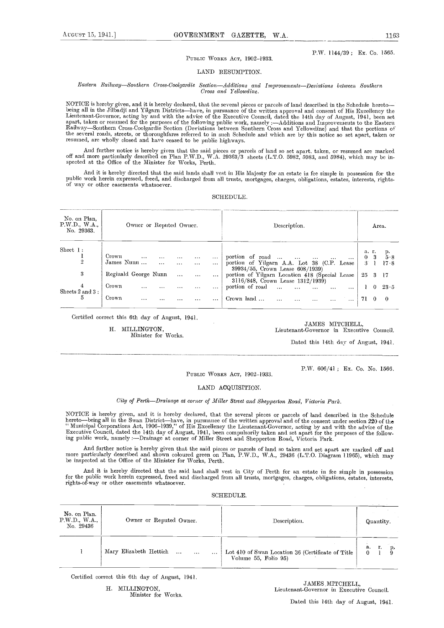## PUBLIC WORKS ACT, 1902-1933.

LAND RESUMPTION.

### Eastern Railway-Southern Cross-Coolgardie Section-Additions and Improvements-Deviations between Southern Cross and Yellowdine.

NOTICE is hereby given, and it is hereby declared, that the several pieces or parcels of land described in the Schedule hereto—<br>being all in the Jilbadji and Yilgarn Districts—have, in pursuance of the written approval and Lieutenant-Governor, acting by aud with the advice of the Executive Council, dated the 14th day of August, 1941, been set<br>apart, taken or resumed for the purposes of the following public work, namely :—Additions aud Improv Railway—Southern Cross-Coolgardie Section (Deviations between Southern Cross and Yellowdine) and that the portions of the several roads, streets, or thoroughfares referred to in such Schedule and which are by this notice so set apart, taken or resumed, are wholly closed and have ceased to be public highways.

And further notice is hereby given that the said pieces or parcels of land so set apart. taken, or resumed are marked off and more particularly described on Plan P.W.D., W.A. 29363/3 sheets (L.T.O. 5982, 5983, aud 5984), which may be in-<br>spected at the Office of the Minister for Works, Perth.

And it is hereby directed that the said lands shall vest in His Majesty for an estate in fee simple in possession for the public work herein expressed, freed, and discharged from all trusts, mortgages, charges, obligations, estates, interests, rights- of way or other easements whatsoever.

## SCHEDULE.

| No. 29363.                                                                                                                                                                                                                                                                                                                                    |                                                                                     |
|-----------------------------------------------------------------------------------------------------------------------------------------------------------------------------------------------------------------------------------------------------------------------------------------------------------------------------------------------|-------------------------------------------------------------------------------------|
| Sheet 1:<br>Crown<br>portion of road $\dots$<br>$\cdots$<br>$\begin{array}{lll} \alpha_{11} & \alpha_{12} & \alpha_{13} \\ \alpha_{21} & \alpha_{22} & \alpha_{23} \end{array}$<br><b>Contract</b><br>$\frac{1}{2}$<br>$\sim$ $\sim$ $\sim$<br>$\cdots$<br>James Nunu<br>portion of Yilgarn A.A. Lot 38 (C.P. Lease<br>$\cdots$<br>$\sim 100$ | a. r.<br>$\frac{\mathrm{p}}{5 \cdot 8}$<br>0 <sup>3</sup><br>17.8<br>3 <sup>1</sup> |
| 39934/55, Crown Lease 608/1939)<br>3<br>Reginald George Nunn<br>portion of Yilgarn Location 418 (Special Lease<br>$\sim$<br>$\sim$ 100 $\pm$ 100 $\pm$<br>$\cdots$                                                                                                                                                                            | 25 3 17                                                                             |
| $3116/848$ , Crown Lease $1312/1939$<br>portion of road<br>Crown<br>1<br>$\cdots$<br>$\ddotsc$<br>Sheets 2 and 3:                                                                                                                                                                                                                             | $\mathbf{1}$ 0<br>$23 \cdot 5$                                                      |
| 5<br>Crown<br>Crown land<br>$\sim$<br>$\cdots$<br>$\cdots$                                                                                                                                                                                                                                                                                    | 71 0<br>- 0                                                                         |

Certified correct this 6th day of August, 1941.

H. MILLINGTON, Minister for Works.

JAMES MITCHELL, Lieutenant-Governor in Executive Council.

Dated this 14th day of August, 1941.

P.W. 606/41; Ex. Co. No. 1566.

PUBLIC WORKS ACT, 1902-1933.

## LAND ACQUISITION.

## City of Perth-Drainage at corner of Miller Street and Shepperton Road, Victoria Park.

NOTICE is hereby given, and it is hereby declared, that the several pieces or parcels of land described in the Schedule<br>hereto—being all in the Swan District—have, in pursuance of the written approval and of the consent un '' Municipal Corporations Act, 1906–1939,'' of His Excellency the Lientenant-Governor, acting by and with the advice of the<br>Executive Council, dated the 14th day of August, 1941, been compulsorily taken and set apart for t

And further notice is hereby given that the said pieces or parcels of land so taken aud set apart are unarked off and more particularly described and shown coloured green on Plan, P.W.D., W.A., 29436 (L.T.O. Diagram 11965) be inspected at the Office of the Minister for Works, Perth.

And it is hereby directed that the said land shall vest in City of Perth for an estate in fee simple in possession for the public work herein expressed, freed and discharged from all trusts, mortgages, charges, obligations, estates, interests, rights-of-way or other easements whatsoever.

## SCHEDULE.

| No. on Plan.<br>P.W.D., W.A.,<br>No. 29436 | Owner or Reputed Owner.                            | Description.                                                              | Quantity.       |
|--------------------------------------------|----------------------------------------------------|---------------------------------------------------------------------------|-----------------|
|                                            | Mary Elizabeth Hettich<br>$\cdots$<br>$\cdots$<br> | Lot 410 of Swan Location 36 (Certificate of Title<br>Volume 55, Folio 95) | .а.<br>r.<br>p, |

Certified correct this 6th day of August, 1941.

H. MILLINGTON, Minister for Works.

JAMES MITCHELL, Lieutenant-Governor in Executive Council.

Dated this 14th day of August, 1941.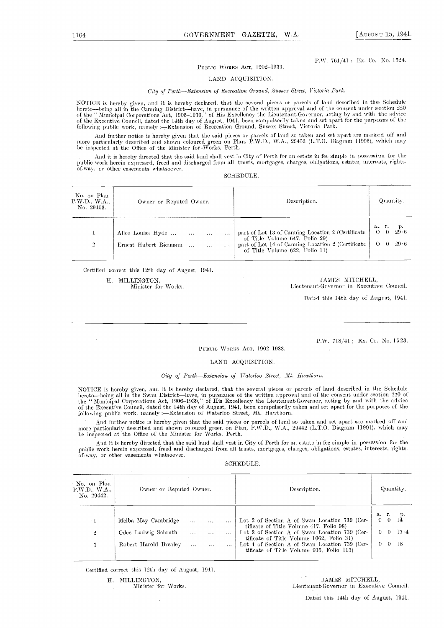## P.W. 761/41; Ex. Co. No. 1524.

## PUBLIC WORKS ACT, 1902-1933.

## LAND ACQUISITiON.

## City of Perth-Extension of Recreation Ground, Sussex Street, Victoria Park.

NOTICE is hereby given, and it is hereby declared, that the several pieces or parcels of land described in the Schedule<br>hereto—being all in the Canning District—have, in pursuance of the written approval and of the consent of the '' Municipal Corporations Act, 1906–1939,'' of His Excellency the Lieutenant-Governor, acting by and with the advice<br>of the Executive Conneil, dated the 14th day of August, 1941, been compulsorily taken and set apar following public work, namely :- Extension of Recreation Ground, Sussex Street, Victoria Park.

And further notice is hereby given that the said pieces or parcels of land so taken and set apart are marked off and more particularly described and shown coloured green on Plan, P.W.D., WA., 29453 (L.T.O. Diagram 11996), which may be inspected at the Office of the Minister for -Works, Perth.

And it is hereby directed that the said land shall vest in City of Perth for an estate in fee simple in possession for the public work herein expressed, freed and discharged from all trusts, mortgages, charges, obligations, estates, interests, rightsof-way, or other easements whatsoever.

#### SCHEDULE.

| No. on Plan<br>P.W.D., W.A.,<br>No. 29453. | Owner or Reputed Owner.                                            | Description.                                                                                                                                                                 | Quantity.                                           |
|--------------------------------------------|--------------------------------------------------------------------|------------------------------------------------------------------------------------------------------------------------------------------------------------------------------|-----------------------------------------------------|
| $\overline{2}$                             | Alice Louisa Hyde<br>$\cdots$<br>Ernest Hubert Riemann<br>$\cdots$ | part of Lot 13 of Canning Location 2 (Certificate  <br>of Title Volume 647, Folio 29)<br>part of Lot 14 of Canning Location 2 (Certificate<br>of Title Volume 622, Folio 11) | а. г.<br>29.6<br>$O = 0$<br>$\Theta = 0$<br>$-29.6$ |

Certified correct this 12th day of August, 1941.

H. MILLINGTON, JAMES MITCHELL, Minister for Works. The Minister of Works. Lieutenant-Governor in Executive Council.

Dated this 14th day of August, 1941.

PUBLIC WORKS ACT, 1902-1933.

P.W. 718/41; Ex. Co. No. 1523.

## LAND ACQUISITION.

## City of Perth-Extension of Waterloo Street, Mt. Hawthorn.

NOTICE is hereby given, and it is hereby declared, that the several pieces or parcels of land described in the Schedule<br>hereto—being all in the Swan District—have, in pursuance of the written approval and of the consent un the "Municipal Corporations Act, 1906–1939," of His Excellency the Lieutenant-Governor, acting by and with the advice<br>of the Executive Council, dated the 14th day of August, 1941, been compulsorily taken and set apart for following public work, namely :—Extension of Waterloo Street, Mt. Hawthorn.

And further notice is hereby given that the said pieces or parcels of land so taken and set apart are marked off and<br>more particularly described and shown coloured green on Plan, P.W.D., W.A., 29442 (L.T.O. Diagram 11991), be inspected at the Office of the Minister for Works, Perth.

And it is hereby directed that the said land shall vest in City of Perth for an estate in fee simple in possession for the public Work herein-expressed, freed and discharged from all trusts, mortgages, charges, obligations, estates, interests, rightsof-way, or other easements whatsoever.

## SCHEDULE.

| Lot 2 of Section A of Swan Location 739 (Cer-<br>Melba May Cambridge<br>$\cdots$<br>tificate of Title Volume 417, Folio 98)<br>Odee Ludwig Schruth<br>Lot 3 of Section A of Swan Location 739 (Cer-<br>$\overline{2}$<br>$\cdots$<br>$\cdots$<br>$\cdots$ |                                                |
|-----------------------------------------------------------------------------------------------------------------------------------------------------------------------------------------------------------------------------------------------------------|------------------------------------------------|
|                                                                                                                                                                                                                                                           | а г.<br>$1\frac{p}{4}$<br>$\Omega$<br>$\Omega$ |
|                                                                                                                                                                                                                                                           | 17.4                                           |
| tificate of Title Volume 1062, Folio 31)<br>Lot 4 of Section A of Swan Location 739 (Cer-<br>Robert Harold Brealey<br>3<br>$\ddotsc$<br>$\cdots$<br>$\cdots$<br>tificate of Title Volume 935, Folio 115)                                                  | -18<br>-0<br>0                                 |

Certified correct this 12th day of August, 1941.

H. MILLINGTON, JAMES MITCHELL, Minister for Works. Contract the Minister of Works. Lieutenant-Governor in Executive Council.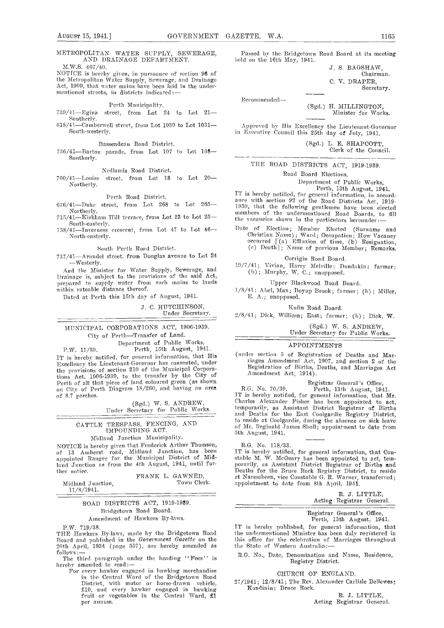## METROPOLITAN WATER SUPPLY, SEWERAGE, AND DRAINAGE DEPARTMENT.

M.W.S. 667/40.

NOTICE is hereby given, in pursuance of section 96 of the Metropolitan Water Supply, Sewerage, and Drainage Act, 1909, that water mains have been laid in the under-<br>heritoned streets, in districts indicated:—

Perth Municipabtv.

 $739/41$ -Egina street, from Lot 24 to Lot 21-Southerly.

 $618/41$ -Camberwell street, from Lot 1030 to Lot 1031-South-westerly.

Bassendean Road District.

736/41-Barton parade, from Lot 107 to Lot 108-Southerly.

Nedlands Road District.

 $700/41$ -Louise street, from Lot 18 to Lot 20-Northerly.

Perth Road District.

Al-Kirkham Hill terrace, from Lot 23 to Lot 25 - homeoned and hold hold hold boards, to South-easterly.

North-easterly.

South Perth Road District.

737/41Arundel street. from Douglas avenue to Lot 24 -Westerly.<br>And the Minister for Water Supply, Sewerage, and

Drainage is, subject to the provisions of the said Act, prepared to supply water from such mains to lands within rateable distance thereof.

Dated at Perth this 15th day of Augnst, 1941.

J. C. HUTCHINSON, Under Secretary.

MUNICIPAL CORPORATIONS ACT, 1906-1939. City of Perth-Transfer of Land.

Department of Public Works,

P.W. 11/39. Perth, 15th August, 1941. IT is hereby notified, for general information, that His (under section 5 of Registration of Deaths and Mar-<br>Excellency the Lieutenant-Governor has consented, under Production of Distriction of Distriction 2 of the the provisions of section 210 of the Municipal Corporations Act, 1906-1939, to the transfer by the City of Perth of ill that piece of land coloured green (as shown on City of Perth Diagram 18/260, and having an ares of S.7 perches.

(Sgd.) W. S. ANDREW, Under Secretary for Public Works.

## CATTLE TRESPASS, FENCING, AND IMPOUNDING ACT. Midland Junction Municipality.

NOTICE is hereby given that Frederick Arthur Thomson, of <sup>13</sup> Amherst road, Midland Junction, has been appointed Ranger for the Municipal District of Mid-

land Junction as from the 4th August, 1941, until fur-FRANK L. GAWNED, Town Clerk.

Midland Junction, 11/8/1.941.

## ROAD DISTRICTS ACT, 1919-1939. Bridgetown Road Board. Amendment of Hawkers By-laws.

P.W. 719/38. IT is hereby published, for gen<br>
THE Hawkers By-laws, made by the Bridgetown Road the undermentioned Minister has<br>
Board and published in the Government Gazette on the this office for the celebration of<br>
20th

follows:—<br>The third paragraph under the heading "Fees" is

Thereby amended to read: For every hawker engaged in hawking merchandise<br>in the Central Ward of the Bridgetown Road in the Central Ward of the Bridgetown Road<br>District, with motor or horse-drawn vehicle, 27/19<br>£10, and every hawker engaged in hawking fruit or vegetables in the Central Ward,  $\mathfrak{L}1$ per annum.

Passed by the Bridgetown Road Board at its meeting held on the 16th May, 1941.

> J. S. BAGSHAW, Chairman. C. V. DRAPER, Secretary.

Recommended-

(Sgd.) H. MILLINGTON, Minister for Works

A pproved by His Excellency the Lieutenant-Governor in Executive Council this 25th day of July, 1941.

> (Sgd.) L. E. SHAPCOTT. Clerk of the Council.

THE ROAD DISTRICTS ACT, 1919-1939.

Road Board Elections.

Department of Public Works,

 $676/41$ —Duke street, from Lot 268 to Lot 265— $1939$ , that the section  $52$  of the Road Districts Act, 1919-<br>Northerly, IT is hereby notified, for general information, in accord-<br>ance with section 92 of the Road Districts Act, 1919-1939, that the following gentlemen have been elected<br>members of the undermentioned Road Boards, to fill<br>the vacancies shown in the particulars hereunder :---

South-easterly.<br>
738/41-Inverness crescent, from Lot 47 to Lot 46- Date of Election; Member Elected (Surname and Date of Election; Member Elected (Surname and Christian Name) ; Ward; Occupation; How Vacancy occurred 1(a) Effiuxion of time, (b) Resignation, (c) Deatlij ; Name of previous Member; Remarks.

Corrigin Road Board.

19/7/41; Vivian, Harry Melville; Dondakin; farmer; (b); Murphy, W. C.; unopposed.

Upper Blackwood Road Board.

1/8/41 ; Abel, Max; Boyup Brook; farmer; (b) ; Miller, E. A.; unopposed,

Kuhn Road Board.

 $2/8/41$ ; Dick, William; East; farmer; (b); Dick, W.

(Sgd.) W. S. ANDREW, Under Secretary for Public Works.

## APPOINTMENTS

(under section 5 of Registration of Deaths and Marriages Amendment Act, 1907, and section 2 of the Registration of Births, Deaths, and Marriages Act Amendment Act, 1914).

R.G. No. 70/39. Registrar General's Office,<br>IT is hereby notified, for general information, that Mr.<br>Charles Alexander Fisher has been appointed to act,<br>temporarily, as Assistant District Registrar of Births<br>and Deaths for 5th August, 1941.

R.G. No. 118/33.<br>IT is hereby notified, for general information, that Constable M. W. McGeary has been appointed to act, tem-<br>porarily, as Assistant District Registrar of Births and Deaths for the Bruce Rock Registry District, to reside at Narembeen, vice Constable G. R. Warner, transferred; appointment to date from 8th April, 1941.

> R. J. LITTLE, Acting Registrar General.

Registrar General's Office, Perth, 13th August, 1941.

IT is hereby published, for general information, that the undermentioned Minister has been duly registered in this office for the celebration of Marriages throughout

HG. No., Date, Denomination and Name, Residence, Registry District.

CHURCH OF ENGLAND.

27/1941; 12/8/41; The Rev, Alexander Carlisle Bellewes; Kondinin; Bruce Bock.

> R. J. LITTLE, Acting Registrar General.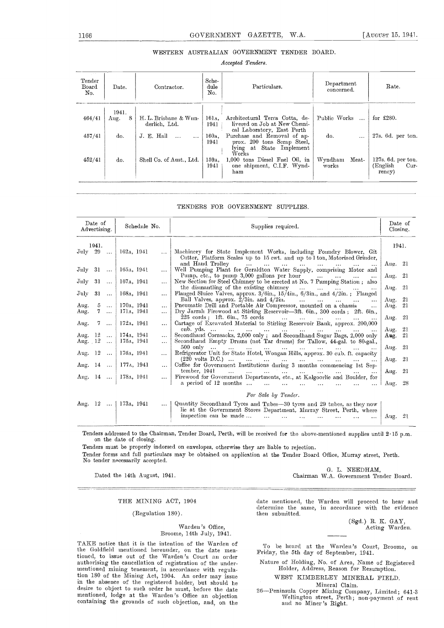## WESTERN AUSTRALIAN GOVERNMENT TENDER BOARD.

Accepted Tenders.

| Tender<br>Board<br>No. | Date.              | Contractor.                            | Sche-<br>dule<br>No.     | Particulars.                                                                                    | Department<br>concerned.  | Rate.                                            |
|------------------------|--------------------|----------------------------------------|--------------------------|-------------------------------------------------------------------------------------------------|---------------------------|--------------------------------------------------|
| 464/41                 | 1941.<br>8<br>Aug. | H. L. Brisbane & Wun-<br>derlich, Ltd. | 161 <sub>A</sub><br>1941 | Architectural Terra Cotta, de-<br>livered on Job at New Chemi-<br>cal Laboratory, East Perth    | Public Works              | for $£280$ .                                     |
| 457/41                 | do.                | J. E. Hall<br>$\sim$<br>$\cdots$       | $160A$ .<br>1941         | Purchase and Removal of ap-<br>prox. 200 tons Serap Steel,<br>lying at State Implement<br>Works | do.<br>$\cdots$           | $27s.6d.$ per ton.                               |
| 452/41                 | do.                | Shell Co. of Aust., Ltd.               | 159a,<br>1941            | 1,000 tons Diesel Fuel Oil, in<br>one shipment, C.I.F. Wynd-<br>ham                             | Wyndham<br>Meat-<br>works | 127s. 6d. per ton.<br>(English<br>Cur-<br>rency) |

TENDERS FOR GOVERNMENT SUPPLIES.

|                         | Date of        | Schedule No.<br>Advertising. |                                          | Supplies required. |                                                                                                                                                                                      |           |     |
|-------------------------|----------------|------------------------------|------------------------------------------|--------------------|--------------------------------------------------------------------------------------------------------------------------------------------------------------------------------------|-----------|-----|
| $\rm{July-29}$          | 1941.          | $\sim 100$                   | 162 <sub>A</sub> , 1941                  | $\cdots$           | Machinery for State Implement Works, including Foundry Blower, Git<br>Cutter, Platform Scales up to 15 cwt. and up to 1 ton, Motorised Grinder,                                      | 1941.     |     |
| $\text{July } 31 \dots$ |                |                              | 165а, 1941                               | .                  | and Haud Trolley<br>the contract of the contract of the contract of the contract of<br>Well Pumping Plant for Geraldton Water Supply, comprising Motor and                           | Aug. $21$ |     |
| $\rm J_{\rm 1l}$ ly     | - 31           | $\sim$ .                     | 167a, 1941                               | $\cdots$           | Punny, etc., to punny 3,000 gallons per hour $\ldots$ $\ldots$<br>$\sim$<br>New Section for Steel Chimney to be erected at No. 7 Pumping Station; also                               | Aug. 21   |     |
| $\rm{July}$             | 31             | $\cdots$                     | 168 <sub>A</sub> , 1941                  | $\cdots$           | the dismantling of the existing chimney<br>and the company of the company of<br>Flanged Sluice Valves, approx. 3/6in., 15/4in., 6/3in., and 4/2in.; Flanged                          | Aug. 21   |     |
|                         |                |                              |                                          |                    | Ball Valves, approx. $2/3$ in. and $4/2$ in.<br>المستحدث المتبادل المتعادل المتعادل                                                                                                  | Aug.      | -21 |
| Aug.                    | 5              | $\sim 10$                    | 170a, 1941                               | $\cdots$           | Pneumatic Drill and Portable Air Compressor, mounted on a chassis                                                                                                                    | Aug.      | 21  |
| Ang.                    | 7 <sup>7</sup> | $\cdots$                     | 171 <sub>A</sub> , 1941                  | $\ddotsc$          | Dry Jarrah Firewood at Stirling Reservoir—3ft. 6in., 300 cords; 2ft. 6in.,<br>225 cords; 1ft. 6in., 75 cords                                                                         | Ang.      | -21 |
| Aug. 7                  |                |                              | $172_A$ , 1941                           | $\cdots$           | Cartage of Excavated Material to Stirling Reservoir Bank, approx. 200,000                                                                                                            |           |     |
|                         |                |                              |                                          |                    |                                                                                                                                                                                      | Aug.      | -21 |
| Aug. 12                 |                | $\sim$ $\sim$                | 174 <sub>A</sub> , 1941                  | $\cdots$           | Secondhand Cornsacks, 2,000 only; and Secondhand Sugar Bags, 2,000 only                                                                                                              | Aug.      | -21 |
| Aug. $12$               |                | $\sim$ .                     | 175 <sub>A</sub> , 1941                  | $\cdots$           | Secondhand Empty Drums (not Tar drums) for Tallow, 44-gal. to 80-gal.,                                                                                                               |           |     |
| Aug. 12                 |                |                              | 176 <sub>A</sub> , 1941                  | $\cdots$           |                                                                                                                                                                                      | Aug. $21$ |     |
|                         |                |                              |                                          |                    |                                                                                                                                                                                      | Aug. $21$ |     |
| Aug. $14$               |                |                              | 177a, 1941                               | $\cdots$           | Coffee for Government Institutions during 3 months commencing 1st Sep-<br>tember, 1941<br>المستحدث والمتقدم والمتناوب والمستحدث والمتناوب والمتناوب المتنا<br>$\cdots$               | Aug. $21$ |     |
|                         |                |                              | Aug. 14    178 $\lambda$ , 1941          | . 1                | Firewood for Government Departments, etc., at Kalgoorlie and Boulder, for<br>a period of 12 months<br>$\ddotsc$<br>$\ddotsc$                                                         | Aug. 28   |     |
|                         |                |                              |                                          |                    |                                                                                                                                                                                      |           |     |
|                         |                |                              |                                          |                    | For Sale by Tender.                                                                                                                                                                  |           |     |
|                         |                |                              | Aug. $12 \ldots$   173 $\text{A}$ , 1941 |                    | Quantity Secondhaud Tyres and Tubes—30 tyres and 29 tubes, as they now<br>lie at the Government Stores Department, Murray Street, Perth, where<br>inspection can be made<br>$\ldots$ | Aug. 21   |     |

Tenders addressed to the Chairman, Tender Board, Perth, will be received for the above.mentioned supplies until 2 15 p.m. on the date of closing.

Tenders must be properly indorsed on envelopes, otherwise they are liable to rejection.

Tender forms and full particulars may be obtained on application at the Tender Board Office, Murray street, Perth. No tender necessarily accepted.

G. L. NEEDHAM, Dated the 14th August, 1941. Chairman W.A. Government Tender Board.

## THE MINING ACT, 1904

(Regulation 180).

## Warden's Office, Broome, 14th July, 1941.

TAKE notice that it is the intention of the Warden of the Goldfield mentioned hereunder, on the date mentioned, to issue out of the Warden's Court an order authorising the cancellation of registration of the under-<br>mentioned mining tenement, in accordance with regulation 180 of the Mining Act, 1904. An order may issue in the absence of the registered holder, but should he desire to object to such order he must, before the date mentioned, lodge at the Warden's Office an objection containing the grounds of such objection, and, on the

date mentioned, the Warden will proceed to hear and determine the same, in accordance with the evidence<br>then submitted.

(Sgd.) R. K. GAY, Acting Warden.

To be heard at the Warden's Court, Broome, ou<br>Friday, the 5th day of September, 1941.

Nature of Holding, No. of Area, Name of Registered Holder, Address, Reason for Resumption.

WEST KIMBERLEY MINERAL FIELD.

Mineral Claim.

26—Peninsula Copper Mining Company, Limited; 641-3<br>Wellington street, Perth; non-payment of rent<br>and no Miner's Right.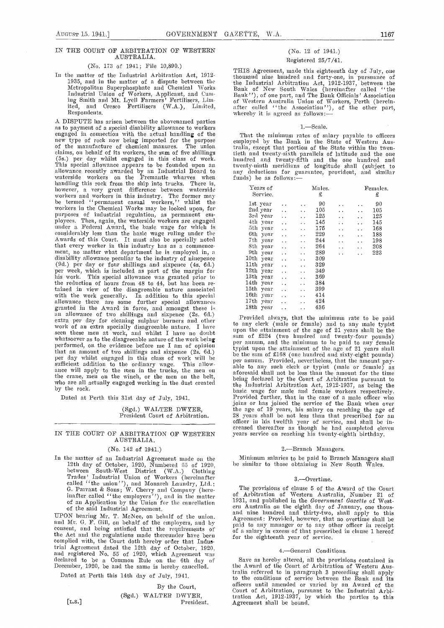## IN THE COURT OF ARBITRATION OF WESTERN AUSTRALIA.

#### (No. 173 of 1941; File 10,890.)

In the matter of the Industrial Arbitration Act, 1912- 1935, and in the niatter of a dispute between the Metropolitait Superphospliate and Chemical Works Industrial Union of Workers, Applicant, and Cuming Smith and Mt. Lyell Farmers' Fertihisers, Lim ited, and Cresco Fertilisers (W.A.), Limited, Respondents.

A DISPUTE has arisen between the abovenamed parties<br>as to payment of a special disability allowance to workers<br>engaged in connection with the actual handling of the Th<br>new type of rock now being imported for the purpose em claims, on behalf of its workers, the slim of five shillings (5s.) per day whilst engaged in tins class of work. This special allowance appears to be founded upon an twent allowance recently awarded by an Industrial Bonrd to waterside workers on the Fremantle wharves when handling this rock from the ship into trucks. There is, however, <sup>a</sup> very great difference between waterside workers and workers in this industry. The former may be termed "permanent casual workers," whilst the workers in the Chemical Works may be looked upon, for purposes of industrial regulation, as permanent em-<br>ployees. Then, again, the waterside workers are engaged ployees. Then, again, the waterside write a Federal Award, the basic wage for which is considerably less than the basic wage ruling under the that every worker in this industry has as a commence-<br>that every worker in this industry has as a commence-<br>ment, no matter what department lie is employed in, a<br>disability allowance peculiar to the industry of ninepence<br> detail per day or four shillings and sixpence (4s. 6d.) per day or four shillings and sixpence (4s. 6d.) the reduction of hours from 48 to 44, but has been retained in view of the disagreeable nature associated 1<br>with the work generally. In addition to this special 1<br>allowance there are some further special allowances 1 granted in the Award in force, and amongst these is<br>an allowance of two shillings and sixpence (2s. 6d.)<br>extra per day for cleaning sulphur burners and other<br>work of an extra specially disagreeable nature. I have seen these men at work, and whilst I have no doubt whatsoever as to the disagreeable nature of the work being<br>performed, on the evidence before me I am of opinion<br>that an amount of two shillings and sixpence (2s. 6d.) that an amount of two shillings and sixpence (2s. 6d.) be the per day whilst engaged in this class of work will be  $_{\text{per}}^{0}$ sufficient addition to the ordinary wage. This allow-<br>ance will apply to the men in the trucks, the men on able t the crane, men on the winch, or the men on the belt,

Dated at Perth this 31st day of July, 1941.

# (Sgd.) WALTER DWYER, President Court of Arbitration.

## IN THE COURT OF ARBITRATION OF WESTERN AUSTRALIA.

## (No. 142 of 1941.)

In the matter of an Industrial Agreement made on the<br>
12th day of October, 1920, Numbered 55 of 1920, be s<br>
between South-West District (W.A.) Clothing<br>
Trades' Industrial Union of Workers (hereinafter<br>
called "the union" inafter called ''the employers''), and in the matter of A<br>of an Application by the Union for the cancellation 1931,<br>of the said Industrial Agreement.

consent, and being satisfied that the requirements of the Act and the regulations made thereunder have been  $\frac{61}{60}$  for t complied with, the Court doth hereby order that Indutrial Agreement dated the 12th day of October, 1920. and registered No.55 of 1920, which Agreement was declared to be a Common Rule on the 6th day of December, 1920, be and the same is hereby cancelled.

Dated at Perth this 14th day of July, 1941.

By the Court, (Sgd.) WALTER DWYEB, [L.s.] President.

## (No. 12 of 1941.) Registered 25/7/41.

THIS Agreement, made this eighteenth day of July, one thousand nine hundred and forty-one, in pursuance of the Industrial Arbitration Act, 1912-1937, between the Bank of New South Wales (hereinafter called ' the Fank '', or one part, and The Bank Officials Union of Workers, Perth (herein-<br>after called ''the Association''), of the other part,<br>whereby it is agreed as follows:--

### 1.-Scale.

That the minimum rates of salary payable to officers employed by the Bank in the State of Western Australia, except that portion of the State within the twentieth and twenty-sixth parallels of latitude and the one hundred and twenty-fifth and the one hundred and twenty-ninth meridians of longitude shall (subject to any deductions for guarantee, provident, and similar funds) be as follows:—

| Years of<br>Service.     |                      |                      | Males.<br>£ |                      |                      | Females.<br>£ |
|--------------------------|----------------------|----------------------|-------------|----------------------|----------------------|---------------|
| 1st year                 |                      | . .                  | 90          |                      |                      | 90            |
| 2nd year                 | Ω.                   | . .                  | 105         | . .                  | μ.                   | 105           |
| 3rd year                 | . .                  | $\ddot{\phantom{1}}$ | 125         |                      | . .                  | 125           |
| 4th year                 | . .                  | $\ddot{\phantom{1}}$ | 145         |                      | . .                  | 145           |
| 5th year                 | $\ddot{\phantom{1}}$ | $\ddot{\phantom{1}}$ | 175         | . .                  | . .                  | 168           |
| 6th<br>year              | . .                  | $\ddot{\phantom{0}}$ | 229         | . .                  | $\ddot{\phantom{1}}$ | 188           |
| 7th<br>year              | . .                  | $\ddot{\phantom{0}}$ | 244         | $\ddot{\phantom{1}}$ | . .                  | 198           |
| 8th<br>year              | е.                   | $\ddot{\phantom{1}}$ | 264         | . .                  | . .                  | 208           |
| 9th<br>year              | . .                  | $\ddot{\phantom{1}}$ | 289         | . .                  | . .                  | 223           |
| 10th<br>year             | . .                  | . .                  | 309         |                      |                      |               |
| 11 <sub>th</sub><br>уеаг | . .                  | $\ddot{\phantom{1}}$ | 329         |                      |                      |               |
| 12 <sub>th</sub><br>year | $\ddot{\phantom{0}}$ | μ.                   | 349         |                      |                      |               |
| 13 <sub>th</sub><br>year | . .                  | $\ddot{\phantom{1}}$ | 369         |                      |                      |               |
| 14th<br>year             | . .                  | . .                  | 384         |                      |                      |               |
| $_{\rm 15th}$<br>year    | . .                  | . .                  | 399         |                      |                      |               |
| 16 <sub>th</sub><br>year | μ.                   | . .                  | 414         |                      |                      |               |
| 17th<br>year             | . .                  |                      | 424         |                      |                      |               |
| 18th<br>year             | $\ddot{\phantom{1}}$ | $\ddot{\phantom{1}}$ | 436         |                      |                      |               |

who are all actually engaged working in the dust created by the court of Arbitration pursuant to<br>by the rock.<br>basic wage for male and female workers respectively. Provided always, that the minimum rate to be paid to any clerk (male or female) and to any male typist upon the attainment of the age of 21 years shall be the sum of £224 (two hundred and twenty-four pounds) per annum, and the minimum to be paid to any female typist upon the attainment of the age of 21 years shall be the sum of £168 (one hundred and sixty-eight pounds) per annum. Provided, nevertheless, that the amount pay-<br>able to any such clerk or typist (male or female) as aforesaid shall not be less than the amount for the time being declared by the Court of Arbitration pursuant to the Industrial Arbitration Act, 1912-1937, as being the basic wage for male and female workers respectively. Provided further, that in the case of a male officer who joins or has joined time service of time Bank when over the age of 19 years, his salary on reaching the age of 28 years shall be not less than that prescribed for an officer in his twelfth year of service, and shall be increased thereafter as though he had completed eleven<br>years service on reaching his twenty-eighth birthday.

## 2.-Branch Managers.

Minimum salaries to be paid to Branch Managers shall be simnilar to those obtaining in New' South Wales.

#### 3.-Overtime.

of the said Industrial Agreement.<br>
of the said Industrial Agreement.<br>
UPON hearing Mr. T. McNee, on behalf of the union.<br>
and mine hundred and thirty-two, shall apply to this<br>
Agreement: Provided, however, that no overtime The provisions of clause 5 of the Award of the Court of Arbitration of Western Australia, Number 21 of 1931, and published in the *Government Gazette* of Westpaid to any manager or to any other officer in receipt of a salary in excess of that prescribed in clause 1 hereof for the eighteenth year of service.

## 4. - General Conditions.

Save as hereby altered, all the provisions contained in the Award of the Court of Arbitration of Western Australia referred to in paragraph 3 preceding shall apply to the conditions of service between the Bank and its officers until amended or varied by an Award of the Court of Arbitration, pursuant to the Industrial Arbitration Act, 1912-1937, by which the parties to this Agreement shall be bound.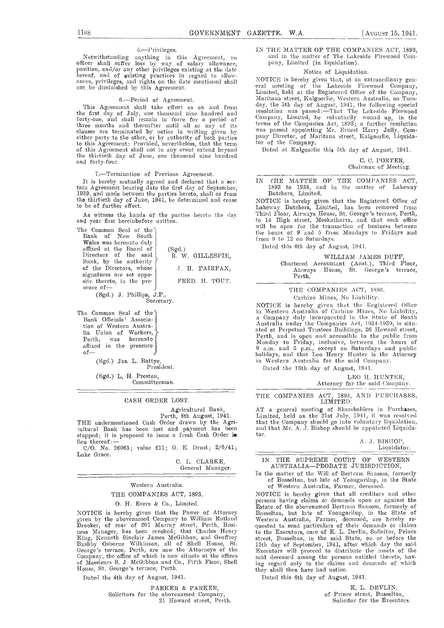## 5.-Privileges.

Notwithstanding anything in this Agreement, no officer shall suffer loss by way of salary allowance, position, and/or any other privileges existing at the date hereof, and of existing practices in regard to allowances, privileges, and rights on the date mentioned shall not be diminished by this Agreement.

## 6.Period of Agreement.

the first day of July, one thousand nine hundred and the forty-one, and shall remain in force for a period of Comp three months and thereafter until all or any of its clauses are terminated by notice in writing given by either party to the other, or by authority of both parties pany Director, of Ma<br>to this Agreement: Provided, nevertheless, that the term tor of the Company. to this Agreement: Provided, nevertheless, that the term tor of the of this Agreement shall not in any event extend beyond the thirtieth day of June, one thousand nine hundred and forty-four.

7.—Termination of Previous Agreement.

It is hereby mutually agreed and declared that a certain Agreement bearing date the first day of September, the first date the first date the first date the first day of September, 1939, and made between the parties hereto, shall as from the thirtieth day of June, 1941, be determined and cease NOTICE is hereby given that the Reg to be of further effect.

The Common Seal of the<br>Bank of New South Wales was hereunto duly<br>affixed at the Board of (Sgd.) affixed at the Board of Directors of the said Bank, by the authority of the Directors, whose<br>signatures are set oppo $s$  site thereto, in the pre-

(Sgd.) J. Phillips, J.P., Secretary.

The Common Seal of the Bank Officials' Association of Western Australia Union of Workers,<br>Perth, was hereunto hereunto affixed in the presence of-

(Sgd.) Jas. L. Battye, President.

(Sgd.) L. H. Preston,

Committeeman.

## CASH ORDER LOST.

Agricultural Bank,

Perth, 8th August, 1941.<br>THE undermentioned Cash Order drawn by the Agri-<br>
ultural Bank has been lost and payment has been stopped; it is proposed to issue a fresh Cash Order in lieu thereof :-

C/O. No. 26063; value £11; G. E. Drust; 2/6/41; Lake Grace.

> 0. L. CLARKE, General Manager.

R. W. GILLESPIE, J. H. FAIRFAX, FRED. H. TOUT.

#### \\restern Australia.

## THE COMPANIES ACT, 1893.

0. H. Evers & Co., Limited.

NOTICE is hereby given that the Power of Attorney<br>given by the abovenamed Company to William Rutland given by the abovenamed Company to William Rutland West<br>Brooker, of rear of 201 Murray street, Perth, Bnsingess Manager, has been revoked; that Charles Henry to the<br>King, Kenneth Sinclair James McGibbon, and Geoffrey stree George's terrace, Perth, are now the Attorneys of the Even Company, the office of which is now situate at the offices said of Messieurs S. J. McGibbon and Co., Fifth Floor, Shell ing House, St. George's terrace, Perth.

Dated the 4th day of August, 1941.

PARKER & PARKER, Solicitors for the abovenamed Company, 21 Howard street, Perth.

## IN THE MATTER OF THE COMPANIES ACT, 1893, and in the matter of The Lakeside Firewood Company, Limited (in liquidation).

#### Notice of Liquidation.

This Agreement shall take effect as on and from the 5th day of Angust, 1941, the following special<br>e first day of July one thousand nine hundred and the resolution was passed:—That The Lakeside Firewood NOTICE is hereby given that, at an extraordinary gen eral meeting of the Lakeside Firewood Company, Limited, held at the Registered Office of the Company, Maritana street, Kalgoorlie, Western Anstralia, on Tuesday, the 5th day of Angust, 1941, the following special terms of the Companies Act, 1893; a further resolution<br>was passed appointing Mr. Ernest Harry Jolly, Company Director, of Maritana street, Kalgoorlie, Liquida-<br>tor of the Company.

Dated at Kalgoorlie this 5th day of August, 1941.

| C. C. PORTER,        |  |
|----------------------|--|
| Chairman of Meeting. |  |

IN THE MATTER OF THE COMPANIES ACT, 1893 to 1938, and in the matter of Lakeway Butchers, Limited.

As witness the hands of the parties hereto the day Third Floor, Airways House, St. George's terrace, Perth, to 14 High street, Meekatharra, and that such office<br>will be open for the transaction of business between NOTICE is hereby given that the Registered Office of Lakeway Butchers, Limited, has been removed from Third Floor, Airways House, St. George's terrace, Perth, to 14 High street, Meekatharra, and that such office will be opemi for tue transaction of business between the hours of 9 and 5 from Mondays to Fridays and from 9 to 12 on Saturdays.

Dated this 6th day of August, 1941.

#### WILLIAM JAMES DUFF

Chartered Accountant (Aust.), Third Floor, Airways House, St. George's terrace, Perth.

## THE COMPANIES ACT, 1893. Carbine Mines, No Liability.

NOTICE is hereby given that the Registered Office in Western Australia of Carbine Mines, No Liability, a Company duly incorporated in the State of South Australia under the Companies Act, 1934-1939, is sitn-<br>ated at Perpetual Trustees Buildings, 26 Howard street, Perth, and is open and accessible to the public from Monday to Friday, inclusive, between the hours of 9 a.m. and 5 p.m., except on Saturdays and public holidays, and that Leo Henry Hunter- is the Attorney in Western Australia for the said Company.

Dated the 13th day of August, 1941.

### LEO H. HUNTER, Attorney for the said Company.

## THE COMPANIES ACT, 1893, AND PURCHASES, LIMITED.

AT a general meeting of Shareholders in Purchases, Limited, held on the 21st July, 1941, it was resolved that the Company should go into voluntary liquidation, and that Mr. A. J. Bishop should be appointed Liquidator.

### A. J. BISHOP, Liquidator.

## IN THE SUPREME COURT OF WESTERN<br>AUSTRALIA—PROBATE JURISDICTION.

In the matter of the Will of Bertram Sansom, formerly of Busselton, but late of Yoongarilup, in the State of Western Australia, Farmer, deceased.

NOTICE is hereby given that all creditors and other persons having claims or demands upon or against the Estate of the abovenamed Bertram Sansoni, formerly of Bsmsseltomi, but hate of Yoongarilup, in the State of Western Australia, Farmer, deceased, are hereby requested to send particulars of their demands or claims to the Executors, care of K. L. Devlin, Solicitor, Prince street, Busselton, in the said State, on or before the 15th day of September, 1941, after which day the said Executors will proceed to distribute the assets of the said deceased among the persons entitled thereto, having regard only to the claims and demands of which they shall then have had notice.

Dated this 6th day of August, 1941.

K. L. DEVLIN. of Prince street, Busselton, Solicitor for the Executors.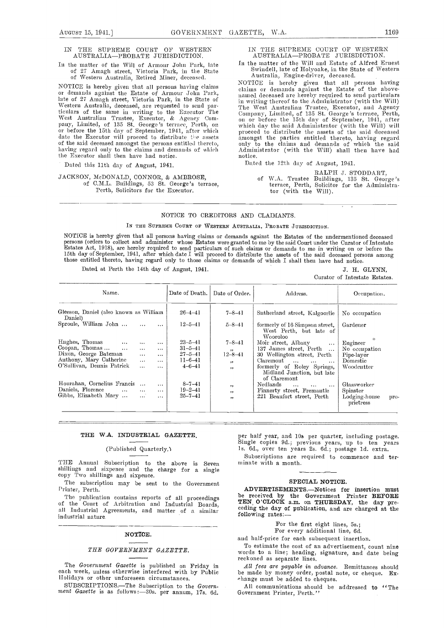## IN THE SUPREME COURT OF WESTERN AUSTRALIA-PROBATE JURISDICTION.

## In the matter of the Will of Armour John Park, late  $\rm \quad In$ of 27 Amagh street, Victoria Park, in the State of Western Australia, Retired Miner, deceased.

ticulars of the same in writing to the Executor The Com-<br>West Anstralian Trustee, Executor, & Agency Com- on on<br>pany, Limited, of 135 St. George's terrace, Perth, on which hefore the 15th day of September, 1941, after which date the Executor will proceed to distribute the assets of the said deceased amongst the persons entitled thereto, on having regard only to the claims and demands of which the Executor shall then have had notice.

Dated this 11th day of August, 1941.

## JACKSON, McDONALD, CONNOR, & AMBROSE, of CML. Buildings, 53 St. George's terrace, Perth, Solicitors for the Executor.

IN THE SUPREME COURT OF WESTERN AUSTRALIA—PROBATE JURISDICTION.<br>In the matter of the Will and Estate of Alfred Ernest

Swindell, late of Holyoake, in the State of Western<br>Australia, Engine-driver, deceased.

NOTICE is hereby given that all persons having claims or demands against the Estate of Armour John Park, late of 27 Amagh street, Victoria Park, in the State of in writing the eeased are hereby required to send particulars claims or demands against the Estate of the abovenamed deceased are hereby required to send particulars<br>in writing thereof to the Administrator (with the Will)<br>The West Anstralian Trustee, Executor, and Agency<br>Company, Limited, of 135 St. George's terrace, Perth,<br>on on o amongst the parties entitled thereto, having regard only to the claims and demands of which the said Administrator (with the Will) shall then have had notice.

Dated the 12th day of August, 1941.

RALPH J. STODDART,<br>of W.A. Trustee Buildings, 135 St. George's terrace, Perth, Solicitor for the Administrator (with the Will).

## NOTICE TO CREDITORS AND CLAIMANTS.

IN THE SUPREME COURT OF WESTERN AUSTRALIA, PROBATE JURISDICTION.

NOTICE is hereby given that all persons having claims or demands against the Estates of the undermentioned deceased persons (orders to collect and administer whose Estates were granted to me by the said Court under the Curator of Intestate<br>Estates Act, 1918), are hereby required to send particulars of such claims or demands to me in wri those entitled thereto, having regard only to those claims or demands of which I shall then have had notice.

Dated at Perth the 14th day of August, 1941. <br>J. H. GLYNN,

Curator of Intestate Estates.

| Name.                                             |                      | Date of Death. | Date of Order. | Address.                                                                 | Occupation.                        |
|---------------------------------------------------|----------------------|----------------|----------------|--------------------------------------------------------------------------|------------------------------------|
| Gleeson, Daniel (also known as William<br>Daniel) |                      | $26 - 4 - 41$  | $7 - 8 - 41$   | Sutherland street, Kalgoorlie                                            | No occupation                      |
| Sproule, William John                             | $\ldots$<br>$\cdots$ | 12–5–41        | $5 - 8 - 41$   | formerly of 16 Simpson street,<br>West Perth, but late of<br>Wooroloo    | Gardener                           |
| Hughes, Thomas<br>$\ldots$                        | $\cdots$<br>$\cdots$ | $23 - 5 - 41$  | $7 - 8 - 41$   | Moir street. Albany<br>$\cdots$                                          | Engineer                           |
| Coopan, Thomas<br>$\cdots$                        | $\cdots$<br>$\cdots$ | $31 - 5 - 41$  | ,,             | 137 James street, Perth                                                  | No occupation                      |
| Dixon, George Bateman                             | $\cdots$<br>$\cdots$ | $27 - 5 - 41$  | $12 - 8 - 41$  | 30 Wellington street, Perth                                              | Pipe-layer                         |
| Anthony, Mary Catherine                           | $\cdots$<br>$\cdots$ | $11 - 6 - 41$  | $, \,$         | Claremont<br>$\cdots$                                                    | Domestic                           |
| O'Sullivan, Dennis Patrick                        | $\cdots$<br>$\cdots$ | $4 - 6 - 41$   | , ,            | formerly of Roley Springs,<br>Midland Junction, but late<br>of Claremont | Woodcutter                         |
| Hourahan, Cornelius Francis                       | $\cdots$             | $8 - 7 - 41$   | ,,             | Nedlands<br>$\ddotsc$<br>$\cdots$<br>$\cdots$                            | Glassworker                        |
| Daniels, Florence                                 | $\cdots$<br>$\cdots$ | $19 - 2 - 41$  | , ,            | Finnerty street, Fremantle                                               | Spinster                           |
| Gibbs, Elizabeth Mary                             | $\cdots$<br>$\cdots$ | $25 - 7 - 41$  |                | 221 Beaufort street, Perth                                               | Lodging-house<br>pro-<br>prietress |

## THE W.A. INDUSTRIAL GAZETTE.

## (Published Quarterly.'i

THE Annual Subscription to the above is Seven min shillings and sixpence and the charge for a single copy Two shillings and sixpence.

The subscription may be sent to the Government Printer, Perth.

all Industrial Agreements, and matter of <sup>a</sup> similar industrial nature

## NOTICE.

## THE GOVERNMENT GAZETTE.

The Government Gazette is published on Friday in each week, unless otherwise interfered with by Public Holidays or other unforeseen circumstances.<br>SUBSCRIPTIONS.—The Subscription to the Govern-

ment Gazette is as follows:-30s. per annum, 17s. 6d.

per half year, and 10s per quarter, including postage.<br>Single copies 9d.; previous years, up to ten years Is. 6d., over tea years 2s. 6d.; postage ld. extra.

Subscriptions are required to commence and terminate with a month.

## SPECIAL NOTICE.

The publication contains reports of all proceedings be received by the Government Printer BEFORE<br>of the Court of Arbitration and Industrial Boards, TEN O'CLOCK a.m. on THURSDAY, the day pre-<br>all Industrial Agreements, and ADVERTISEMENTS.-Notices for insertion must be received by the Government Printer BEPORE TEN, O'CLOCK a.m. on THURSDAY, the day prefollowing rates:

For the first eight lines, 5s.; For every additional line, Gd.

and half-price for each subsequent insertion.

To estimate the cost of an advertisement, count nine words to a line; heading, signature, and date being reckoned as separate lines.

All fees are payable in advance. Remittances should be made by money order, postal note, or cheque. Exchange must be added to cheques.

All communications should be addressed to "The Government Printer, Perth.''